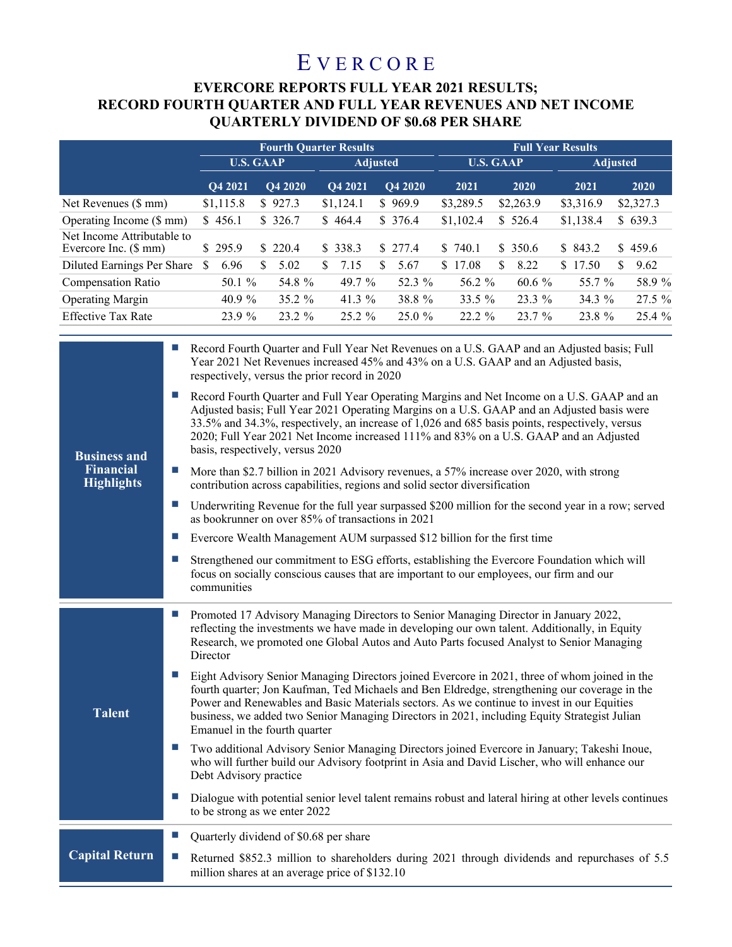# E V E R C O R E

# **EVERCORE REPORTS FULL YEAR 2021 RESULTS; RECORD FOURTH QUARTER AND FULL YEAR REVENUES AND NET INCOME QUARTERLY DIVIDEND OF \$0.68 PER SHARE**

|                                                              | <b>Fourth Quarter Results</b> |   |                |                 |                     |  |   |                | <b>Full Year Results</b> |           |    |           |    |                 |  |     |           |  |
|--------------------------------------------------------------|-------------------------------|---|----------------|-----------------|---------------------|--|---|----------------|--------------------------|-----------|----|-----------|----|-----------------|--|-----|-----------|--|
|                                                              | <b>U.S. GAAP</b>              |   |                | <b>Adjusted</b> |                     |  |   |                | <b>U.S. GAAP</b>         |           |    |           |    | <b>Adjusted</b> |  |     |           |  |
|                                                              | O <sub>4</sub> 2021           |   | <b>O4 2020</b> |                 | O <sub>4</sub> 2021 |  |   | <b>O4 2020</b> |                          | 2021      |    | 2020      |    | 2021            |  |     | 2020      |  |
| Net Revenues (\$ mm)                                         | \$1,115.8                     |   | \$927.3        |                 | \$1,124.1           |  |   | \$969.9        |                          | \$3,289.5 |    | \$2,263.9 |    | \$3,316.9       |  |     | \$2,327.3 |  |
| Operating Income (\$ mm)                                     | \$456.1                       |   | \$326.7        |                 | \$464.4             |  |   | \$ 376.4       |                          | \$1,102.4 |    | \$526.4   |    | \$1,138.4       |  |     | \$639.3   |  |
| Net Income Attributable to<br>Evercore Inc. $(\$ \text{mm})$ | \$295.9                       |   | \$220.4        |                 | \$338.3             |  |   | \$277.4        |                          | \$740.1   |    | \$350.6   |    | \$843.2         |  |     | \$459.6   |  |
| Diluted Earnings Per Share                                   | 6.96                          | S | 5.02           | S.              | 7.15                |  | S | 5.67           | S.                       | 17.08     | \$ | 8.22      | \$ | 17.50           |  | \$. | 9.62      |  |
| <b>Compensation Ratio</b>                                    | 50.1 %                        |   | 54.8 %         |                 | 49.7 $%$            |  |   | 52.3 %         |                          | 56.2 %    |    | $60.6\%$  |    | 55.7 %          |  |     | 58.9 %    |  |
| <b>Operating Margin</b>                                      | 40.9 $%$                      |   | $35.2 \%$      |                 | 41.3 $%$            |  |   | 38.8 %         |                          | $33.5 \%$ |    | 23.3 %    |    | $34.3\%$        |  |     | $27.5 \%$ |  |
| <b>Effective Tax Rate</b>                                    | 23.9 %                        |   | $23.2\%$       |                 | $25.2 \%$           |  |   | $25.0 \%$      |                          | $22.2 \%$ |    | 23.7%     |    | 23.8 %          |  |     | 25.4%     |  |

|                                       | Record Fourth Quarter and Full Year Net Revenues on a U.S. GAAP and an Adjusted basis; Full<br>Year 2021 Net Revenues increased 45% and 43% on a U.S. GAAP and an Adjusted basis,<br>respectively, versus the prior record in 2020                                                                                                                                                                                                  |
|---------------------------------------|-------------------------------------------------------------------------------------------------------------------------------------------------------------------------------------------------------------------------------------------------------------------------------------------------------------------------------------------------------------------------------------------------------------------------------------|
| <b>Business and</b>                   | ×.<br>Record Fourth Quarter and Full Year Operating Margins and Net Income on a U.S. GAAP and an<br>Adjusted basis; Full Year 2021 Operating Margins on a U.S. GAAP and an Adjusted basis were<br>33.5% and 34.3%, respectively, an increase of 1,026 and 685 basis points, respectively, versus<br>2020; Full Year 2021 Net Income increased 111% and 83% on a U.S. GAAP and an Adjusted<br>basis, respectively, versus 2020       |
| <b>Financial</b><br><b>Highlights</b> | ×.<br>More than \$2.7 billion in 2021 Advisory revenues, a 57% increase over 2020, with strong<br>contribution across capabilities, regions and solid sector diversification                                                                                                                                                                                                                                                        |
|                                       | ×.<br>Underwriting Revenue for the full year surpassed \$200 million for the second year in a row; served<br>as bookrunner on over 85% of transactions in 2021                                                                                                                                                                                                                                                                      |
|                                       | $\mathcal{C}$<br>Evercore Wealth Management AUM surpassed \$12 billion for the first time                                                                                                                                                                                                                                                                                                                                           |
|                                       | Strengthened our commitment to ESG efforts, establishing the Evercore Foundation which will<br>$\mathcal{C}$<br>focus on socially conscious causes that are important to our employees, our firm and our<br>communities                                                                                                                                                                                                             |
|                                       | Promoted 17 Advisory Managing Directors to Senior Managing Director in January 2022,<br>$\mathcal{C}$<br>reflecting the investments we have made in developing our own talent. Additionally, in Equity<br>Research, we promoted one Global Autos and Auto Parts focused Analyst to Senior Managing<br>Director                                                                                                                      |
| <b>Talent</b>                         | Eight Advisory Senior Managing Directors joined Evercore in 2021, three of whom joined in the<br>H.<br>fourth quarter; Jon Kaufman, Ted Michaels and Ben Eldredge, strengthening our coverage in the<br>Power and Renewables and Basic Materials sectors. As we continue to invest in our Equities<br>business, we added two Senior Managing Directors in 2021, including Equity Strategist Julian<br>Emanuel in the fourth quarter |
|                                       | Two additional Advisory Senior Managing Directors joined Evercore in January; Takeshi Inoue,<br>×.<br>who will further build our Advisory footprint in Asia and David Lischer, who will enhance our<br>Debt Advisory practice                                                                                                                                                                                                       |
|                                       | H.<br>Dialogue with potential senior level talent remains robust and lateral hiring at other levels continues<br>to be strong as we enter 2022                                                                                                                                                                                                                                                                                      |
|                                       | H.<br>Quarterly dividend of \$0.68 per share                                                                                                                                                                                                                                                                                                                                                                                        |
| <b>Capital Return</b>                 | ×.<br>Returned \$852.3 million to shareholders during 2021 through dividends and repurchases of 5.5<br>million shares at an average price of \$132.10                                                                                                                                                                                                                                                                               |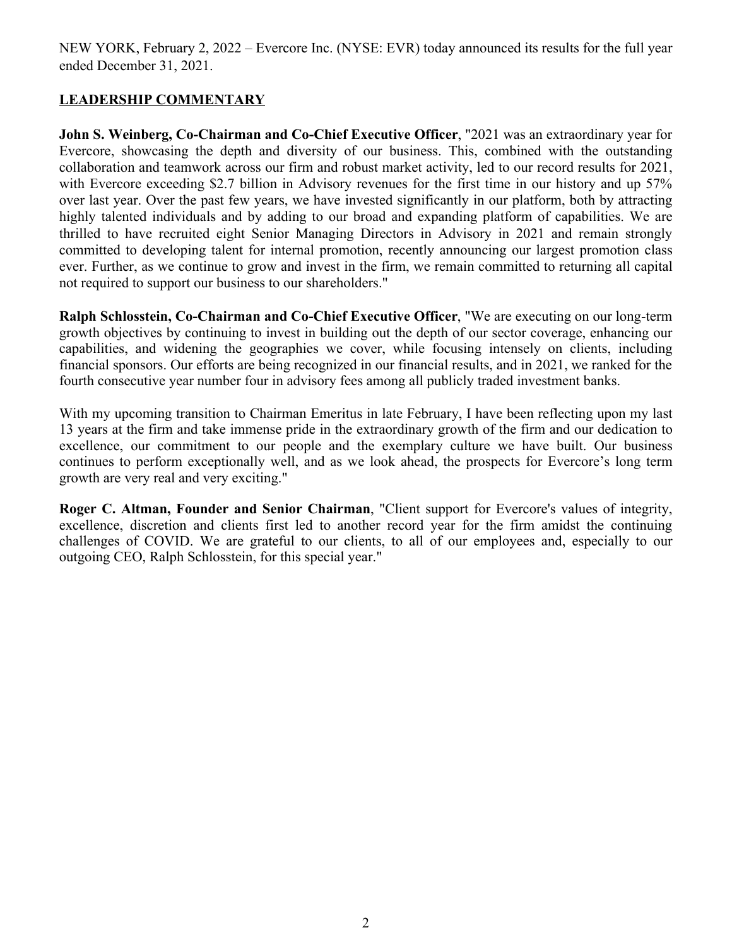NEW YORK, February 2, 2022 – Evercore Inc. (NYSE: EVR) today announced its results for the full year ended December 31, 2021.

# **LEADERSHIP COMMENTARY**

**John S. Weinberg, Co-Chairman and Co-Chief Executive Officer**, "2021 was an extraordinary year for Evercore, showcasing the depth and diversity of our business. This, combined with the outstanding collaboration and teamwork across our firm and robust market activity, led to our record results for 2021, with Evercore exceeding \$2.7 billion in Advisory revenues for the first time in our history and up 57% over last year. Over the past few years, we have invested significantly in our platform, both by attracting highly talented individuals and by adding to our broad and expanding platform of capabilities. We are thrilled to have recruited eight Senior Managing Directors in Advisory in 2021 and remain strongly committed to developing talent for internal promotion, recently announcing our largest promotion class ever. Further, as we continue to grow and invest in the firm, we remain committed to returning all capital not required to support our business to our shareholders."

**Ralph Schlosstein, Co-Chairman and Co-Chief Executive Officer**, "We are executing on our long-term growth objectives by continuing to invest in building out the depth of our sector coverage, enhancing our capabilities, and widening the geographies we cover, while focusing intensely on clients, including financial sponsors. Our efforts are being recognized in our financial results, and in 2021, we ranked for the fourth consecutive year number four in advisory fees among all publicly traded investment banks.

With my upcoming transition to Chairman Emeritus in late February, I have been reflecting upon my last 13 years at the firm and take immense pride in the extraordinary growth of the firm and our dedication to excellence, our commitment to our people and the exemplary culture we have built. Our business continues to perform exceptionally well, and as we look ahead, the prospects for Evercore's long term growth are very real and very exciting."

**Roger C. Altman, Founder and Senior Chairman**, "Client support for Evercore's values of integrity, excellence, discretion and clients first led to another record year for the firm amidst the continuing challenges of COVID. We are grateful to our clients, to all of our employees and, especially to our outgoing CEO, Ralph Schlosstein, for this special year."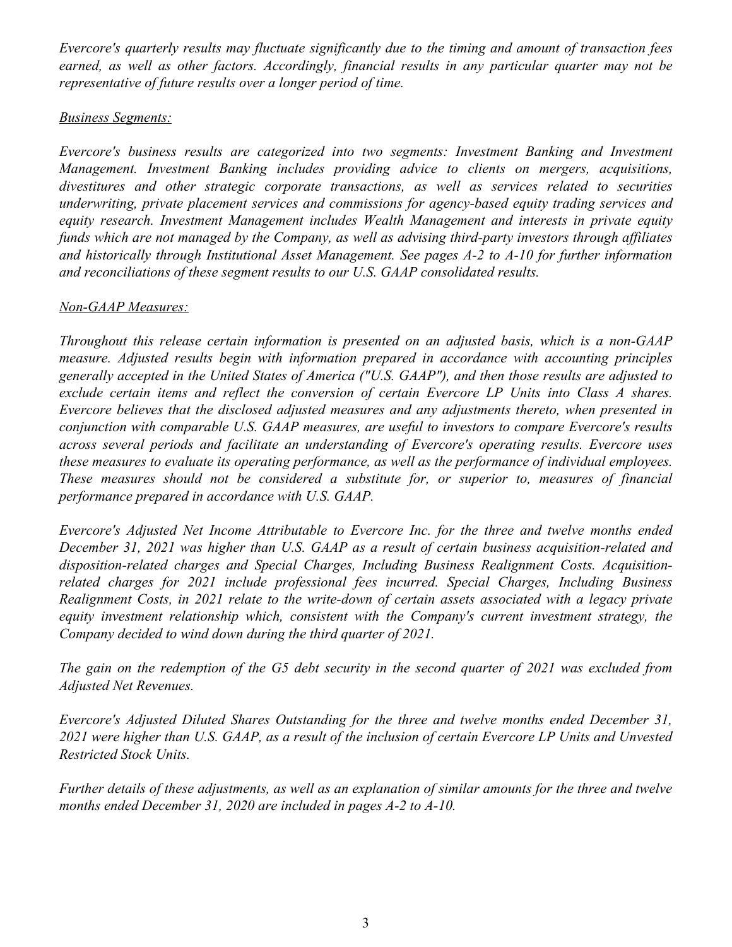*Evercore's quarterly results may fluctuate significantly due to the timing and amount of transaction fees earned, as well as other factors. Accordingly, financial results in any particular quarter may not be representative of future results over a longer period of time.*

#### *Business Segments:*

*Evercore's business results are categorized into two segments: Investment Banking and Investment Management. Investment Banking includes providing advice to clients on mergers, acquisitions, divestitures and other strategic corporate transactions, as well as services related to securities underwriting, private placement services and commissions for agency-based equity trading services and equity research. Investment Management includes Wealth Management and interests in private equity funds which are not managed by the Company, as well as advising third-party investors through affiliates and historically through Institutional Asset Management. See pages A-2 to A-10 for further information and reconciliations of these segment results to our U.S. GAAP consolidated results.* 

### *Non-GAAP Measures:*

*Throughout this release certain information is presented on an adjusted basis, which is a non-GAAP measure. Adjusted results begin with information prepared in accordance with accounting principles generally accepted in the United States of America ("U.S. GAAP"), and then those results are adjusted to exclude certain items and reflect the conversion of certain Evercore LP Units into Class A shares. Evercore believes that the disclosed adjusted measures and any adjustments thereto, when presented in conjunction with comparable U.S. GAAP measures, are useful to investors to compare Evercore's results across several periods and facilitate an understanding of Evercore's operating results. Evercore uses these measures to evaluate its operating performance, as well as the performance of individual employees. These measures should not be considered a substitute for, or superior to, measures of financial performance prepared in accordance with U.S. GAAP.* 

*Evercore's Adjusted Net Income Attributable to Evercore Inc. for the three and twelve months ended December 31, 2021 was higher than U.S. GAAP as a result of certain business acquisition-related and disposition-related charges and Special Charges, Including Business Realignment Costs. Acquisitionrelated charges for 2021 include professional fees incurred. Special Charges, Including Business Realignment Costs, in 2021 relate to the write-down of certain assets associated with a legacy private equity investment relationship which, consistent with the Company's current investment strategy, the Company decided to wind down during the third quarter of 2021.*

*The gain on the redemption of the G5 debt security in the second quarter of 2021 was excluded from Adjusted Net Revenues.*

*Evercore's Adjusted Diluted Shares Outstanding for the three and twelve months ended December 31, 2021 were higher than U.S. GAAP, as a result of the inclusion of certain Evercore LP Units and Unvested Restricted Stock Units.*

*Further details of these adjustments, as well as an explanation of similar amounts for the three and twelve months ended December 31, 2020 are included in pages A-2 to A-10.*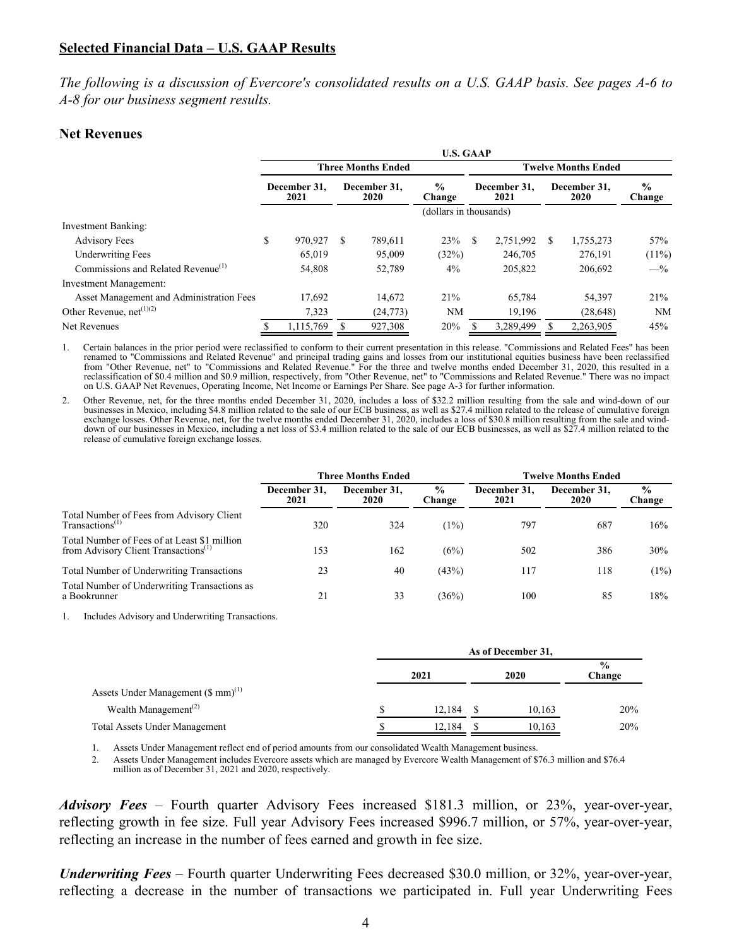#### **Selected Financial Data – U.S. GAAP Results**

*The following is a discussion of Evercore's consolidated results on a U.S. GAAP basis. See pages A-6 to A-8 for our business segment results.*

#### **Net Revenues**

|                                                |                      |   |                             | <b>U.S. GAAP</b>        |                            |           |                             |           |                         |  |  |
|------------------------------------------------|----------------------|---|-----------------------------|-------------------------|----------------------------|-----------|-----------------------------|-----------|-------------------------|--|--|
|                                                |                      |   | <b>Three Months Ended</b>   |                         | <b>Twelve Months Ended</b> |           |                             |           |                         |  |  |
|                                                | December 31,<br>2021 |   | December 31.<br><b>2020</b> | $\frac{6}{9}$<br>Change | December 31.<br>2021       |           | December 31.<br><b>2020</b> |           | $\frac{0}{0}$<br>Change |  |  |
|                                                |                      |   |                             | (dollars in thousands)  |                            |           |                             |           |                         |  |  |
| Investment Banking:                            |                      |   |                             |                         |                            |           |                             |           |                         |  |  |
| <b>Advisory Fees</b>                           | \$<br>970,927        | S | 789,611                     | 23%                     | S                          | 2,751,992 | <sup>S</sup>                | 1,755,273 | 57%                     |  |  |
| <b>Underwriting Fees</b>                       | 65,019               |   | 95,009                      | (32%)                   |                            | 246,705   |                             | 276,191   | $(11\%)$                |  |  |
| Commissions and Related Revenue <sup>(1)</sup> | 54,808               |   | 52,789                      | $4\%$                   |                            | 205,822   |                             | 206,692   | $-$ %                   |  |  |
| <b>Investment Management:</b>                  |                      |   |                             |                         |                            |           |                             |           |                         |  |  |
| Asset Management and Administration Fees       | 17,692               |   | 14,672                      | 21%                     |                            | 65,784    |                             | 54,397    | 21%                     |  |  |
| Other Revenue, $net^{(1)(2)}$                  | 7,323                |   | (24, 773)                   | NM                      |                            | 19,196    |                             | (28, 648) | NM                      |  |  |
| Net Revenues                                   | 1,115,769            |   | 927.308                     | 20%                     |                            | 3,289,499 |                             | 2,263,905 | 45%                     |  |  |

1. Certain balances in the prior period were reclassified to conform to their current presentation in this release. "Commissions and Related Fees" has been renamed to "Commissions and Related Revenue" and principal trading gains and losses from our institutional equities business have been reclassified from "Other Revenue, net" to "Commissions and Related Revenue." For the three and twelve months ended December 31, 2020, this resulted in a reclassification of \$0.4 million and \$0.9 million, respectively, from "Other Revenue, net" to "Commissions and Related Revenue." There was no impact on U.S. GAAP Net Revenues, Operating Income, Net Income or Earnings Per Share. See page A-3 for further information.

2. Other Revenue, net, for the three months ended December 31, 2020, includes a loss of \$32.2 million resulting from the sale and wind-down of our businesses in Mexico, including \$4.8 million related to the sale of our ECB business, as well as \$27.4 million related to the release of cumulative foreign exchange losses. Other Revenue, net, for the twelve months ended December 31, 2020, includes a loss of \$30.8 million resulting from the sale and winddown of our businesses in Mexico, including a net loss of \$3.4 million related to the sale of our ECB businesses, as well as \$27.4 million related to the release of cumulative foreign exchange losses.

|                                                                                                  |                      | <b>Three Months Ended</b> |                         | <b>Twelve Months Ended</b> |                      |                         |  |  |  |  |
|--------------------------------------------------------------------------------------------------|----------------------|---------------------------|-------------------------|----------------------------|----------------------|-------------------------|--|--|--|--|
|                                                                                                  | December 31,<br>2021 | December 31.<br>2020      | $\frac{6}{9}$<br>Change | December 31.<br>2021       | December 31,<br>2020 | $\frac{0}{0}$<br>Change |  |  |  |  |
| Total Number of Fees from Advisory Client<br>Transactions <sup>(1)</sup>                         | 320                  | 324                       | (1%)                    | 797                        | 687                  | 16%                     |  |  |  |  |
| Total Number of Fees of at Least \$1 million<br>from Advisory Client Transactions <sup>(1)</sup> | 153                  | 162                       | (6%)                    | 502                        | 386                  | 30%                     |  |  |  |  |
| <b>Total Number of Underwriting Transactions</b>                                                 | 23                   | 40                        | (43%)                   | 117                        | 118                  | (1%)                    |  |  |  |  |
| Total Number of Underwriting Transactions as<br>a Bookrunner                                     | 21                   | 33                        | (36%)                   | 100                        | 85                   | 18%                     |  |  |  |  |

1. Includes Advisory and Underwriting Transactions.

|                                                | As of December 31, |  |        |                         |  |  |  |  |  |
|------------------------------------------------|--------------------|--|--------|-------------------------|--|--|--|--|--|
|                                                | 2021               |  | 2020   | $\frac{0}{0}$<br>Change |  |  |  |  |  |
| Assets Under Management $(\$ \text{mm})^{(1)}$ |                    |  |        |                         |  |  |  |  |  |
| Wealth Management <sup><math>(2)</math></sup>  | 12.184             |  | 10.163 | 20%                     |  |  |  |  |  |
| <b>Total Assets Under Management</b>           | 12.184             |  | 10,163 | 20%                     |  |  |  |  |  |

1. Assets Under Management reflect end of period amounts from our consolidated Wealth Management business.

2. Assets Under Management includes Evercore assets which are managed by Evercore Wealth Management of \$76.3 million and \$76.4 million as of December 31, 2021 and 2020, respectively.

*Advisory Fees –* Fourth quarter Advisory Fees increased \$181.3 million, or 23%, year-over-year, reflecting growth in fee size. Full year Advisory Fees increased \$996.7 million, or 57%, year-over-year, reflecting an increase in the number of fees earned and growth in fee size.

*Underwriting Fees –* Fourth quarter Underwriting Fees decreased \$30.0 million, or 32%, year-over-year, reflecting a decrease in the number of transactions we participated in. Full year Underwriting Fees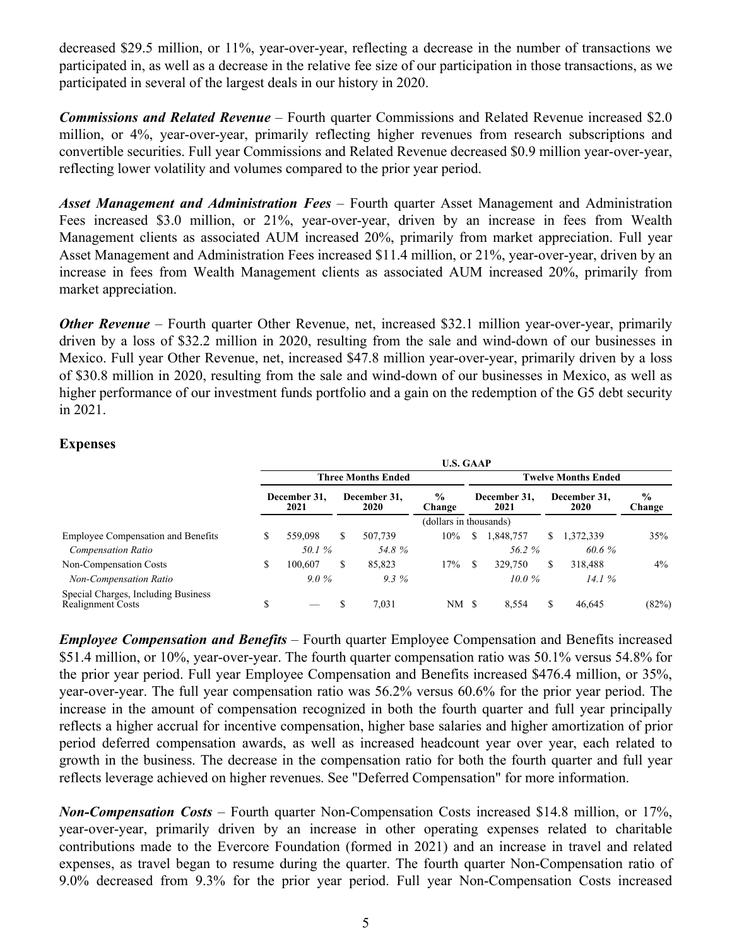decreased \$29.5 million, or 11%, year-over-year, reflecting a decrease in the number of transactions we participated in, as well as a decrease in the relative fee size of our participation in those transactions, as we participated in several of the largest deals in our history in 2020.

*Commissions and Related Revenue –* Fourth quarter Commissions and Related Revenue increased \$2.0 million, or 4%, year-over-year, primarily reflecting higher revenues from research subscriptions and convertible securities. Full year Commissions and Related Revenue decreased \$0.9 million year-over-year, reflecting lower volatility and volumes compared to the prior year period.

*Asset Management and Administration Fees –* Fourth quarter Asset Management and Administration Fees increased \$3.0 million, or 21%, year-over-year, driven by an increase in fees from Wealth Management clients as associated AUM increased 20%, primarily from market appreciation. Full year Asset Management and Administration Fees increased \$11.4 million, or 21%, year-over-year, driven by an increase in fees from Wealth Management clients as associated AUM increased 20%, primarily from market appreciation.

*Other Revenue* – Fourth quarter Other Revenue, net, increased \$32.1 million year-over-year, primarily driven by a loss of \$32.2 million in 2020, resulting from the sale and wind-down of our businesses in Mexico. Full year Other Revenue, net, increased \$47.8 million year-over-year, primarily driven by a loss of \$30.8 million in 2020, resulting from the sale and wind-down of our businesses in Mexico, as well as higher performance of our investment funds portfolio and a gain on the redemption of the G5 debt security in 2021.

### **Expenses**

|                                                                 |                      |         |                             |                            | <b>U.S. GAAP</b>        |                      |           |    |                      |                         |
|-----------------------------------------------------------------|----------------------|---------|-----------------------------|----------------------------|-------------------------|----------------------|-----------|----|----------------------|-------------------------|
|                                                                 |                      |         | <b>Three Months Ended</b>   | <b>Twelve Months Ended</b> |                         |                      |           |    |                      |                         |
|                                                                 | December 31,<br>2021 |         | December 31,<br><b>2020</b> |                            | $\frac{6}{9}$<br>Change | December 31.<br>2021 |           |    | December 31,<br>2020 | $\frac{0}{0}$<br>Change |
|                                                                 |                      |         |                             |                            | (dollars in thousands)  |                      |           |    |                      |                         |
| <b>Employee Compensation and Benefits</b>                       | S                    | 559.098 | \$                          | 507,739                    | 10%                     | S                    | 1,848,757 | S  | 372,339              | 35%                     |
| <b>Compensation Ratio</b>                                       |                      | 50.1 %  |                             | 54.8%                      |                         |                      | 56.2 %    |    | 60.6 %               |                         |
| Non-Compensation Costs                                          |                      | 100.607 | \$                          | 85,823                     | 17%                     | S                    | 329,750   | \$ | 318,488              | $4\%$                   |
| Non-Compensation Ratio                                          |                      | $9.0\%$ |                             | $9.3\%$                    |                         |                      | $10.0 \%$ |    | 14.1 $%$             |                         |
| Special Charges, Including Business<br><b>Realignment Costs</b> |                      |         |                             | 7.031                      | $NM \$                  |                      | 8.554     |    | 46.645               | (82%)                   |

*Employee Compensation and Benefits –* Fourth quarter Employee Compensation and Benefits increased \$51.4 million, or 10%, year-over-year. The fourth quarter compensation ratio was 50.1% versus 54.8% for the prior year period. Full year Employee Compensation and Benefits increased \$476.4 million, or 35%, year-over-year. The full year compensation ratio was 56.2% versus 60.6% for the prior year period. The increase in the amount of compensation recognized in both the fourth quarter and full year principally reflects a higher accrual for incentive compensation, higher base salaries and higher amortization of prior period deferred compensation awards, as well as increased headcount year over year, each related to growth in the business. The decrease in the compensation ratio for both the fourth quarter and full year reflects leverage achieved on higher revenues. See "Deferred Compensation" for more information.

*Non-Compensation Costs –* Fourth quarter Non-Compensation Costs increased \$14.8 million, or 17%, year-over-year, primarily driven by an increase in other operating expenses related to charitable contributions made to the Evercore Foundation (formed in 2021) and an increase in travel and related expenses, as travel began to resume during the quarter. The fourth quarter Non-Compensation ratio of 9.0% decreased from 9.3% for the prior year period. Full year Non-Compensation Costs increased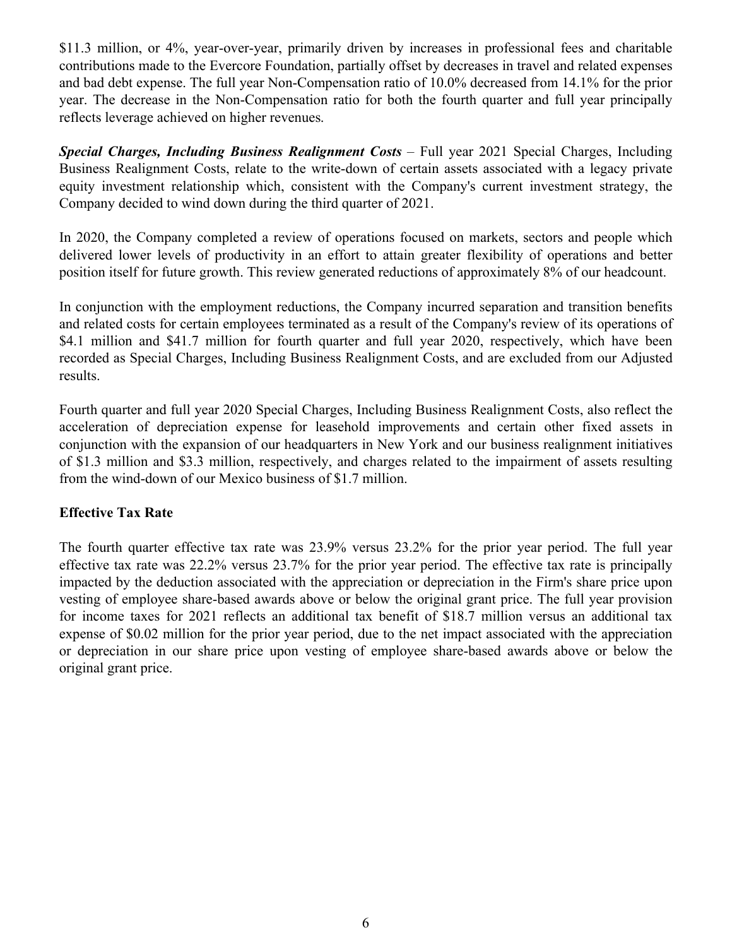\$11.3 million, or 4%, year-over-year, primarily driven by increases in professional fees and charitable contributions made to the Evercore Foundation, partially offset by decreases in travel and related expenses and bad debt expense. The full year Non-Compensation ratio of 10.0% decreased from 14.1% for the prior year. The decrease in the Non-Compensation ratio for both the fourth quarter and full year principally reflects leverage achieved on higher revenues.

*Special Charges, Including Business Realignment Costs – Full year 2021 Special Charges, Including* Business Realignment Costs, relate to the write-down of certain assets associated with a legacy private equity investment relationship which, consistent with the Company's current investment strategy, the Company decided to wind down during the third quarter of 2021.

In 2020, the Company completed a review of operations focused on markets, sectors and people which delivered lower levels of productivity in an effort to attain greater flexibility of operations and better position itself for future growth. This review generated reductions of approximately 8% of our headcount.

In conjunction with the employment reductions, the Company incurred separation and transition benefits and related costs for certain employees terminated as a result of the Company's review of its operations of \$4.1 million and \$41.7 million for fourth quarter and full year 2020, respectively, which have been recorded as Special Charges, Including Business Realignment Costs, and are excluded from our Adjusted results.

Fourth quarter and full year 2020 Special Charges, Including Business Realignment Costs, also reflect the acceleration of depreciation expense for leasehold improvements and certain other fixed assets in conjunction with the expansion of our headquarters in New York and our business realignment initiatives of \$1.3 million and \$3.3 million, respectively, and charges related to the impairment of assets resulting from the wind-down of our Mexico business of \$1.7 million.

# **Effective Tax Rate**

The fourth quarter effective tax rate was 23.9% versus 23.2% for the prior year period. The full year effective tax rate was 22.2% versus 23.7% for the prior year period. The effective tax rate is principally impacted by the deduction associated with the appreciation or depreciation in the Firm's share price upon vesting of employee share-based awards above or below the original grant price. The full year provision for income taxes for 2021 reflects an additional tax benefit of \$18.7 million versus an additional tax expense of \$0.02 million for the prior year period, due to the net impact associated with the appreciation or depreciation in our share price upon vesting of employee share-based awards above or below the original grant price.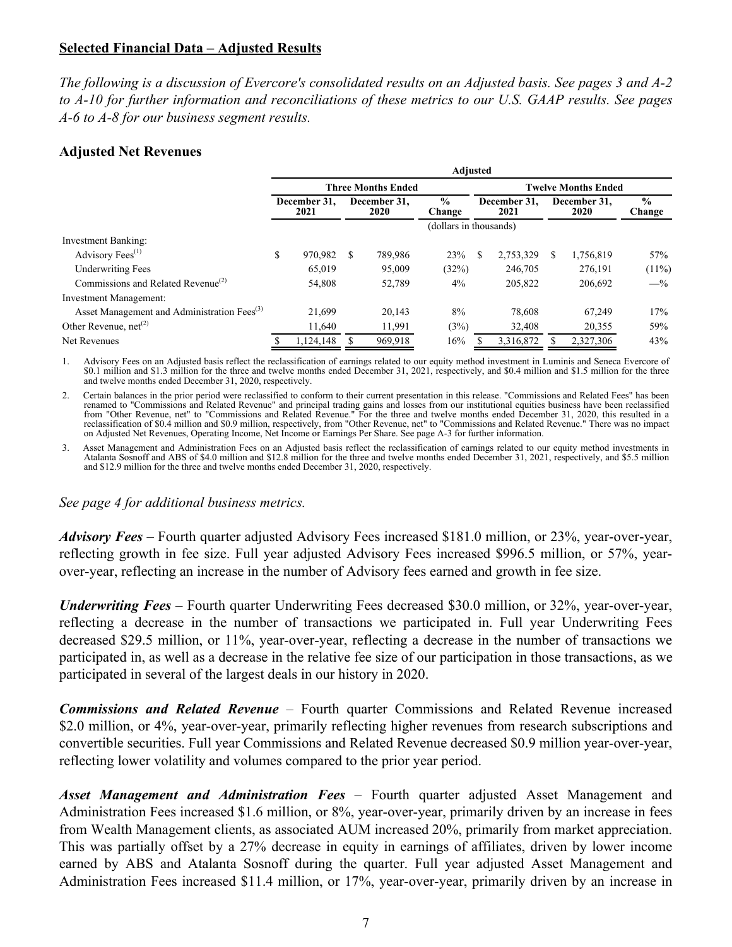#### **Selected Financial Data – Adjusted Results**

*The following is a discussion of Evercore's consolidated results on an Adjusted basis. See pages 3 and A-2 to A-10 for further information and reconciliations of these metrics to our U.S. GAAP results. See pages A-6 to A-8 for our business segment results.*

#### **Adjusted Net Revenues**

|                      |           |                      |         |                         | <b>Twelve Months Ended</b> |           |                                           |           |                         |  |
|----------------------|-----------|----------------------|---------|-------------------------|----------------------------|-----------|-------------------------------------------|-----------|-------------------------|--|
| December 31.<br>2021 |           | December 31.<br>2020 |         | $\frac{0}{0}$<br>Change | December 31,<br>2021       |           | December 31.<br>2020                      |           | $\frac{0}{0}$<br>Change |  |
|                      |           |                      |         |                         |                            |           |                                           |           |                         |  |
|                      |           |                      |         |                         |                            |           |                                           |           |                         |  |
| \$                   | 970.982   | \$                   | 789,986 | 23%                     | S                          | 2,753,329 | S.                                        | 1,756,819 | 57%                     |  |
|                      | 65,019    |                      | 95,009  | (32%)                   |                            | 246.705   |                                           | 276,191   | $(11\%)$                |  |
|                      | 54.808    |                      | 52,789  | $4\%$                   |                            | 205,822   |                                           | 206,692   | $-$ %                   |  |
|                      |           |                      |         |                         |                            |           |                                           |           |                         |  |
|                      | 21,699    |                      | 20,143  | 8%                      |                            | 78.608    |                                           | 67,249    | 17%                     |  |
|                      | 11,640    |                      | 11,991  | (3%)                    |                            | 32,408    |                                           | 20,355    | 59%                     |  |
|                      | 1,124,148 |                      | 969,918 | 16%                     |                            | 3,316,872 |                                           | 2,327,306 | 43%                     |  |
|                      |           |                      |         |                         | <b>Three Months Ended</b>  |           | <b>Adjusted</b><br>(dollars in thousands) |           |                         |  |

1. Advisory Fees on an Adjusted basis reflect the reclassification of earnings related to our equity method investment in Luminis and Seneca Evercore of \$0.1 million and \$1.3 million for the three and twelve months ended December 31, 2021, respectively, and \$0.4 million and \$1.5 million for the three and twelve months ended December 31, 2020, respectively.

2. Certain balances in the prior period were reclassified to conform to their current presentation in this release. "Commissions and Related Fees" has been renamed to "Commissions and Related Revenue" and principal trading gains and losses from our institutional equities business have been reclassified from "Other Revenue, net" to "Commissions and Related Revenue." For the three and twelve months ended December 31, 2020, this resulted in a reclassification of \$0.4 million and \$0.9 million, respectively, from "Other Revenue, net" to "Commissions and Related Revenue." There was no impact on Adjusted Net Revenues, Operating Income, Net Income or Earnings Per Share. See page A-3 for further information.

3. Asset Management and Administration Fees on an Adjusted basis reflect the reclassification of earnings related to our equity method investments in Atalanta Sosnoff and ABS of \$4.0 million and \$12.8 million for the three and twelve months ended December 31, 2021, respectively, and \$5.5 million and \$12.9 million for the three and twelve months ended December 31, 2020, respectively.

#### *See page 4 for additional business metrics.*

*Advisory Fees –* Fourth quarter adjusted Advisory Fees increased \$181.0 million, or 23%, year-over-year, reflecting growth in fee size. Full year adjusted Advisory Fees increased \$996.5 million, or 57%, yearover-year, reflecting an increase in the number of Advisory fees earned and growth in fee size.

*Underwriting Fees –* Fourth quarter Underwriting Fees decreased \$30.0 million, or 32%, year-over-year, reflecting a decrease in the number of transactions we participated in. Full year Underwriting Fees decreased \$29.5 million, or 11%, year-over-year, reflecting a decrease in the number of transactions we participated in, as well as a decrease in the relative fee size of our participation in those transactions, as we participated in several of the largest deals in our history in 2020.

*Commissions and Related Revenue –* Fourth quarter Commissions and Related Revenue increased \$2.0 million, or 4%, year-over-year, primarily reflecting higher revenues from research subscriptions and convertible securities. Full year Commissions and Related Revenue decreased \$0.9 million year-over-year, reflecting lower volatility and volumes compared to the prior year period.

*Asset Management and Administration Fees –* Fourth quarter adjusted Asset Management and Administration Fees increased \$1.6 million, or 8%, year-over-year, primarily driven by an increase in fees from Wealth Management clients, as associated AUM increased 20%, primarily from market appreciation. This was partially offset by a 27% decrease in equity in earnings of affiliates, driven by lower income earned by ABS and Atalanta Sosnoff during the quarter. Full year adjusted Asset Management and Administration Fees increased \$11.4 million, or 17%, year-over-year, primarily driven by an increase in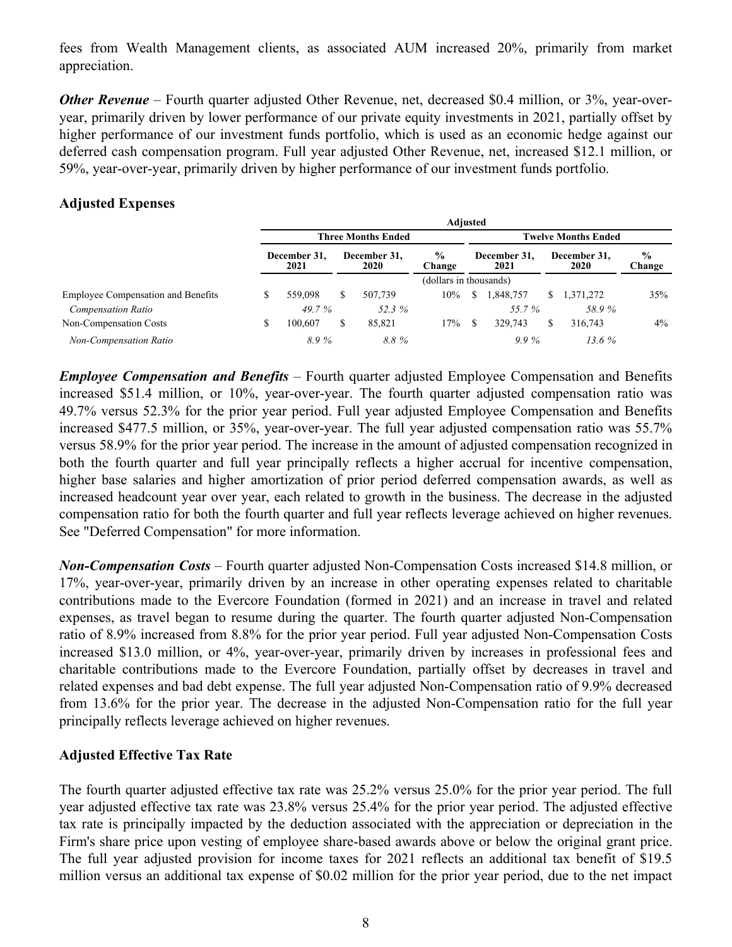fees from Wealth Management clients, as associated AUM increased 20%, primarily from market appreciation.

*Other Revenue* – Fourth quarter adjusted Other Revenue, net, decreased \$0.4 million, or 3%, year-overyear, primarily driven by lower performance of our private equity investments in 2021, partially offset by higher performance of our investment funds portfolio, which is used as an economic hedge against our deferred cash compensation program. Full year adjusted Other Revenue, net, increased \$12.1 million, or 59%, year-over-year, primarily driven by higher performance of our investment funds portfolio.

### **Adjusted Expenses**

|                                           | Adjusted                  |         |                      |         |                         |                      |                            |    |                      |                         |  |  |  |
|-------------------------------------------|---------------------------|---------|----------------------|---------|-------------------------|----------------------|----------------------------|----|----------------------|-------------------------|--|--|--|
|                                           | <b>Three Months Ended</b> |         |                      |         |                         |                      | <b>Twelve Months Ended</b> |    |                      |                         |  |  |  |
|                                           | December 31.<br>2021      |         | December 31,<br>2020 |         | $\frac{0}{0}$<br>Change | December 31.<br>2021 |                            |    | December 31.<br>2020 | $\frac{0}{0}$<br>Change |  |  |  |
|                                           |                           |         |                      |         | (dollars in thousands)  |                      |                            |    |                      |                         |  |  |  |
| <b>Employee Compensation and Benefits</b> |                           | 559.098 | \$                   | 507.739 | 10%                     | S                    | 1,848,757                  | S. | 1,371,272            | 35%                     |  |  |  |
| <b>Compensation Ratio</b>                 |                           | 49.7 %  |                      | 52.3 %  |                         |                      | 55.7 %                     |    | 58.9%                |                         |  |  |  |
| Non-Compensation Costs                    |                           | 100.607 | \$                   | 85,821  | 17%                     |                      | 329.743                    | S. | 316,743              | $4\%$                   |  |  |  |
| Non-Compensation Ratio                    |                           | 8.9%    |                      | 8.8%    |                         |                      | $9.9\%$                    |    | 13.6%                |                         |  |  |  |

*Employee Compensation and Benefits –* Fourth quarter adjusted Employee Compensation and Benefits increased \$51.4 million, or 10%, year-over-year. The fourth quarter adjusted compensation ratio was 49.7% versus 52.3% for the prior year period. Full year adjusted Employee Compensation and Benefits increased \$477.5 million, or 35%, year-over-year. The full year adjusted compensation ratio was 55.7% versus 58.9% for the prior year period. The increase in the amount of adjusted compensation recognized in both the fourth quarter and full year principally reflects a higher accrual for incentive compensation, higher base salaries and higher amortization of prior period deferred compensation awards, as well as increased headcount year over year, each related to growth in the business. The decrease in the adjusted compensation ratio for both the fourth quarter and full year reflects leverage achieved on higher revenues. See "Deferred Compensation" for more information.

*Non-Compensation Costs –* Fourth quarter adjusted Non-Compensation Costs increased \$14.8 million, or 17%, year-over-year, primarily driven by an increase in other operating expenses related to charitable contributions made to the Evercore Foundation (formed in 2021) and an increase in travel and related expenses, as travel began to resume during the quarter. The fourth quarter adjusted Non-Compensation ratio of 8.9% increased from 8.8% for the prior year period. Full year adjusted Non-Compensation Costs increased \$13.0 million, or 4%, year-over-year, primarily driven by increases in professional fees and charitable contributions made to the Evercore Foundation, partially offset by decreases in travel and related expenses and bad debt expense. The full year adjusted Non-Compensation ratio of 9.9% decreased from 13.6% for the prior year. The decrease in the adjusted Non-Compensation ratio for the full year principally reflects leverage achieved on higher revenues.

### **Adjusted Effective Tax Rate**

The fourth quarter adjusted effective tax rate was 25.2% versus 25.0% for the prior year period. The full year adjusted effective tax rate was 23.8% versus 25.4% for the prior year period. The adjusted effective tax rate is principally impacted by the deduction associated with the appreciation or depreciation in the Firm's share price upon vesting of employee share-based awards above or below the original grant price. The full year adjusted provision for income taxes for 2021 reflects an additional tax benefit of \$19.5 million versus an additional tax expense of \$0.02 million for the prior year period, due to the net impact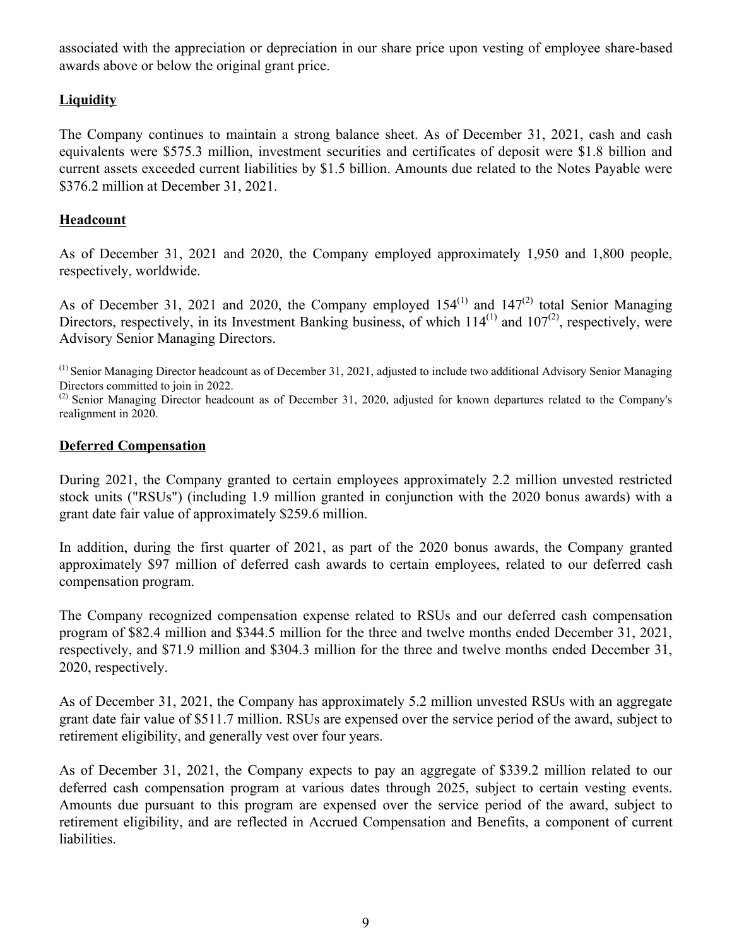associated with the appreciation or depreciation in our share price upon vesting of employee share-based awards above or below the original grant price.

# **Liquidity**

The Company continues to maintain a strong balance sheet. As of December 31, 2021, cash and cash equivalents were \$575.3 million, investment securities and certificates of deposit were \$1.8 billion and current assets exceeded current liabilities by \$1.5 billion. Amounts due related to the Notes Payable were \$376.2 million at December 31, 2021.

### **Headcount**

As of December 31, 2021 and 2020, the Company employed approximately 1,950 and 1,800 people, respectively, worldwide.

As of December 31, 2021 and 2020, the Company employed  $154<sup>(1)</sup>$  and  $147<sup>(2)</sup>$  total Senior Managing Directors, respectively, in its Investment Banking business, of which  $114^{(1)}$  and  $107^{(2)}$ , respectively, were Advisory Senior Managing Directors.

 $<sup>(1)</sup>$  Senior Managing Director headcount as of December 31, 2021, adjusted to include two additional Advisory Senior Managing</sup> Directors committed to join in 2022.

<sup>(2)</sup> Senior Managing Director headcount as of December 31, 2020, adjusted for known departures related to the Company's realignment in 2020.

### **Deferred Compensation**

During 2021, the Company granted to certain employees approximately 2.2 million unvested restricted stock units ("RSUs") (including 1.9 million granted in conjunction with the 2020 bonus awards) with a grant date fair value of approximately \$259.6 million.

In addition, during the first quarter of 2021, as part of the 2020 bonus awards, the Company granted approximately \$97 million of deferred cash awards to certain employees, related to our deferred cash compensation program.

The Company recognized compensation expense related to RSUs and our deferred cash compensation program of \$82.4 million and \$344.5 million for the three and twelve months ended December 31, 2021, respectively, and \$71.9 million and \$304.3 million for the three and twelve months ended December 31, 2020, respectively.

As of December 31, 2021, the Company has approximately 5.2 million unvested RSUs with an aggregate grant date fair value of \$511.7 million. RSUs are expensed over the service period of the award, subject to retirement eligibility, and generally vest over four years.

As of December 31, 2021, the Company expects to pay an aggregate of \$339.2 million related to our deferred cash compensation program at various dates through 2025, subject to certain vesting events. Amounts due pursuant to this program are expensed over the service period of the award, subject to retirement eligibility, and are reflected in Accrued Compensation and Benefits, a component of current liabilities.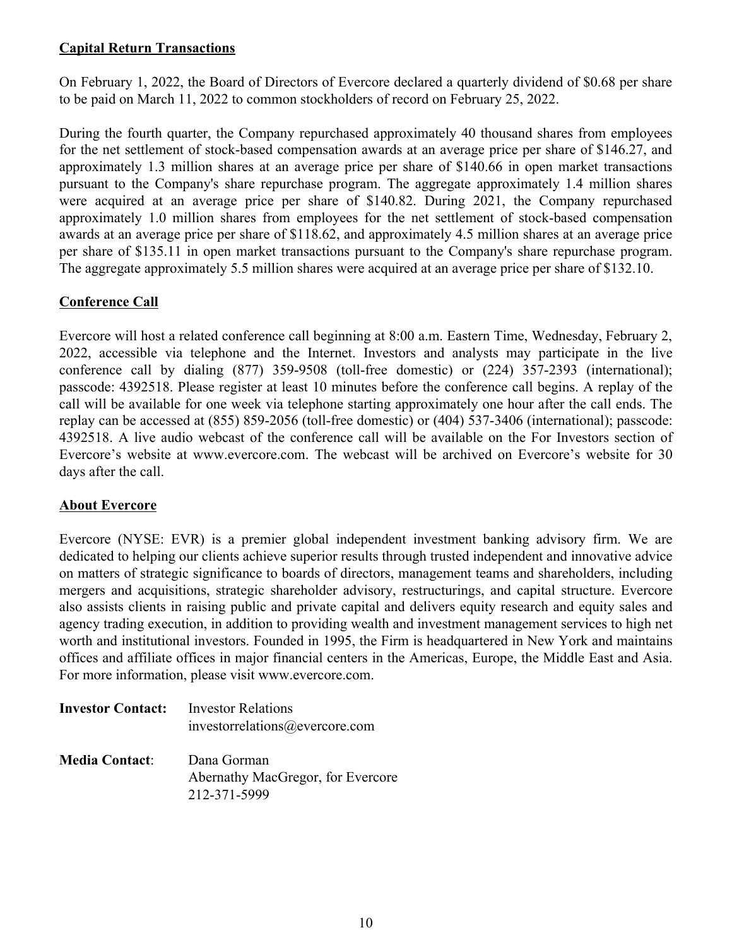## **Capital Return Transactions**

On February 1, 2022, the Board of Directors of Evercore declared a quarterly dividend of \$0.68 per share to be paid on March 11, 2022 to common stockholders of record on February 25, 2022.

During the fourth quarter, the Company repurchased approximately 40 thousand shares from employees for the net settlement of stock-based compensation awards at an average price per share of \$146.27, and approximately 1.3 million shares at an average price per share of \$140.66 in open market transactions pursuant to the Company's share repurchase program. The aggregate approximately 1.4 million shares were acquired at an average price per share of \$140.82. During 2021, the Company repurchased approximately 1.0 million shares from employees for the net settlement of stock-based compensation awards at an average price per share of \$118.62, and approximately 4.5 million shares at an average price per share of \$135.11 in open market transactions pursuant to the Company's share repurchase program. The aggregate approximately 5.5 million shares were acquired at an average price per share of \$132.10.

## **Conference Call**

Evercore will host a related conference call beginning at 8:00 a.m. Eastern Time, Wednesday, February 2, 2022, accessible via telephone and the Internet. Investors and analysts may participate in the live conference call by dialing (877) 359-9508 (toll-free domestic) or (224) 357-2393 (international); passcode: 4392518. Please register at least 10 minutes before the conference call begins. A replay of the call will be available for one week via telephone starting approximately one hour after the call ends. The replay can be accessed at (855) 859-2056 (toll-free domestic) or (404) 537-3406 (international); passcode: 4392518. A live audio webcast of the conference call will be available on the For Investors section of Evercore's website at www.evercore.com. The webcast will be archived on Evercore's website for 30 days after the call.

### **About Evercore**

Evercore (NYSE: EVR) is a premier global independent investment banking advisory firm. We are dedicated to helping our clients achieve superior results through trusted independent and innovative advice on matters of strategic significance to boards of directors, management teams and shareholders, including mergers and acquisitions, strategic shareholder advisory, restructurings, and capital structure. Evercore also assists clients in raising public and private capital and delivers equity research and equity sales and agency trading execution, in addition to providing wealth and investment management services to high net worth and institutional investors. Founded in 1995, the Firm is headquartered in New York and maintains offices and affiliate offices in major financial centers in the Americas, Europe, the Middle East and Asia. For more information, please visit www.evercore.com.

| <b>Investor Contact:</b> | Investor Relations<br>investorrelations@evercore.com |
|--------------------------|------------------------------------------------------|
| <b>Media Contact:</b>    | Dana Gorman<br>Abernathy MacGregor, for Evercore     |
|                          | 212-371-5999                                         |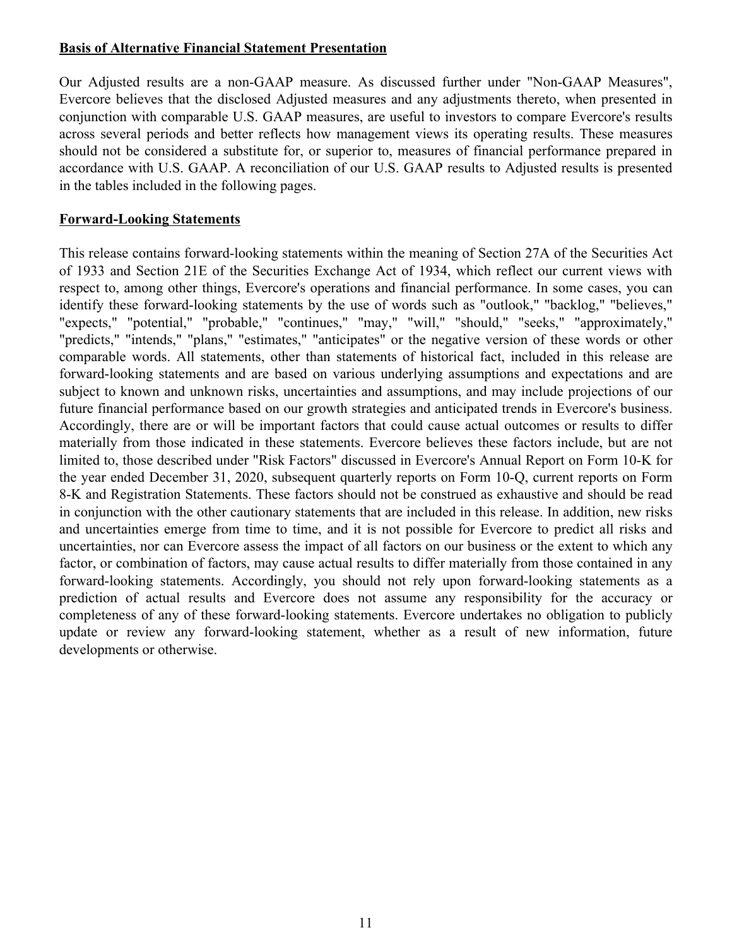### **Basis of Alternative Financial Statement Presentation**

Our Adjusted results are a non-GAAP measure. As discussed further under "Non-GAAP Measures", Evercore believes that the disclosed Adjusted measures and any adjustments thereto, when presented in conjunction with comparable U.S. GAAP measures, are useful to investors to compare Evercore's results across several periods and better reflects how management views its operating results. These measures should not be considered a substitute for, or superior to, measures of financial performance prepared in accordance with U.S. GAAP. A reconciliation of our U.S. GAAP results to Adjusted results is presented in the tables included in the following pages.

### **Forward-Looking Statements**

This release contains forward-looking statements within the meaning of Section 27A of the Securities Act of 1933 and Section 21E of the Securities Exchange Act of 1934, which reflect our current views with respect to, among other things, Evercore's operations and financial performance. In some cases, you can identify these forward-looking statements by the use of words such as "outlook," "backlog," "believes," "expects," "potential," "probable," "continues," "may," "will," "should," "seeks," "approximately," "predicts," "intends," "plans," "estimates," "anticipates" or the negative version of these words or other comparable words. All statements, other than statements of historical fact, included in this release are forward-looking statements and are based on various underlying assumptions and expectations and are subject to known and unknown risks, uncertainties and assumptions, and may include projections of our future financial performance based on our growth strategies and anticipated trends in Evercore's business. Accordingly, there are or will be important factors that could cause actual outcomes or results to differ materially from those indicated in these statements. Evercore believes these factors include, but are not limited to, those described under "Risk Factors" discussed in Evercore's Annual Report on Form 10-K for the year ended December 31, 2020, subsequent quarterly reports on Form 10-Q, current reports on Form 8-K and Registration Statements. These factors should not be construed as exhaustive and should be read in conjunction with the other cautionary statements that are included in this release. In addition, new risks and uncertainties emerge from time to time, and it is not possible for Evercore to predict all risks and uncertainties, nor can Evercore assess the impact of all factors on our business or the extent to which any factor, or combination of factors, may cause actual results to differ materially from those contained in any forward-looking statements. Accordingly, you should not rely upon forward-looking statements as a prediction of actual results and Evercore does not assume any responsibility for the accuracy or completeness of any of these forward-looking statements. Evercore undertakes no obligation to publicly update or review any forward-looking statement, whether as a result of new information, future developments or otherwise.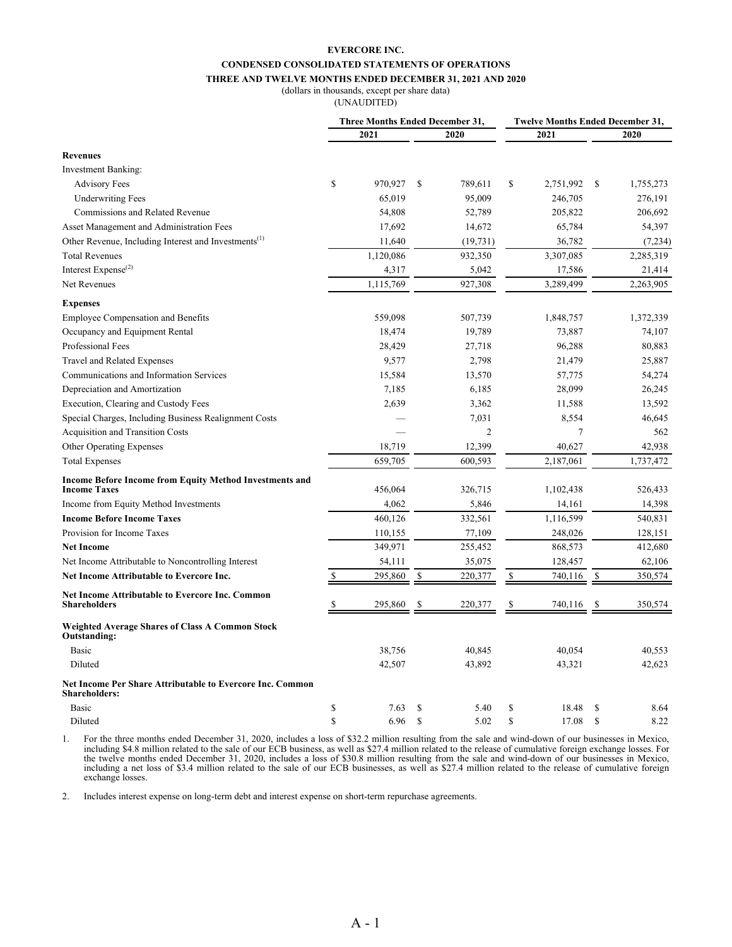#### **EVERCORE INC. CONDENSED CONSOLIDATED STATEMENTS OF OPERATIONS THREE AND TWELVE MONTHS ENDED DECEMBER 31, 2021 AND 2020**

(dollars in thousands, except per share data)

(UNAUDITED)

|                                                                                   | <b>Three Months Ended December 31,</b> |           |              |                | <b>Twelve Months Ended December 31,</b> |                |             |           |  |  |  |
|-----------------------------------------------------------------------------------|----------------------------------------|-----------|--------------|----------------|-----------------------------------------|----------------|-------------|-----------|--|--|--|
|                                                                                   |                                        | 2021      |              | 2020           |                                         | 2021           |             | 2020      |  |  |  |
| <b>Revenues</b>                                                                   |                                        |           |              |                |                                         |                |             |           |  |  |  |
| <b>Investment Banking:</b>                                                        |                                        |           |              |                |                                         |                |             |           |  |  |  |
| <b>Advisory Fees</b>                                                              | \$                                     | 970,927   | <sup>S</sup> | 789,611        | \$                                      | 2,751,992      | \$          | 1,755,273 |  |  |  |
| <b>Underwriting Fees</b>                                                          |                                        | 65,019    |              | 95,009         |                                         | 246,705        |             | 276,191   |  |  |  |
| Commissions and Related Revenue                                                   |                                        | 54,808    |              | 52,789         |                                         | 205,822        |             | 206,692   |  |  |  |
| Asset Management and Administration Fees                                          |                                        | 17,692    |              | 14,672         |                                         | 65,784         |             | 54,397    |  |  |  |
| Other Revenue, Including Interest and Investments <sup>(1)</sup>                  |                                        | 11,640    |              | (19, 731)      |                                         | 36,782         |             | (7,234)   |  |  |  |
| <b>Total Revenues</b>                                                             |                                        | 1,120,086 |              | 932,350        |                                         | 3,307,085      |             | 2,285,319 |  |  |  |
| Interest Expense <sup><math>(2)</math></sup>                                      |                                        | 4,317     |              | 5,042          |                                         | 17,586         |             | 21,414    |  |  |  |
| Net Revenues                                                                      |                                        | 1,115,769 |              | 927,308        |                                         | 3,289,499      |             | 2,263,905 |  |  |  |
| <b>Expenses</b>                                                                   |                                        |           |              |                |                                         |                |             |           |  |  |  |
| Employee Compensation and Benefits                                                |                                        | 559,098   |              | 507,739        |                                         | 1,848,757      |             | 1,372,339 |  |  |  |
| Occupancy and Equipment Rental                                                    |                                        | 18,474    |              | 19,789         |                                         | 73,887         |             | 74,107    |  |  |  |
| Professional Fees                                                                 |                                        | 28,429    |              | 27,718         |                                         | 96,288         |             | 80,883    |  |  |  |
| <b>Travel and Related Expenses</b>                                                |                                        | 9,577     |              | 2,798          |                                         | 21,479         |             | 25,887    |  |  |  |
| Communications and Information Services                                           |                                        | 15,584    |              | 13,570         |                                         | 57,775         |             | 54,274    |  |  |  |
| Depreciation and Amortization                                                     |                                        | 7,185     |              | 6,185          |                                         | 28,099         |             | 26,245    |  |  |  |
| Execution, Clearing and Custody Fees                                              |                                        | 2,639     |              | 3,362          |                                         | 11,588         |             | 13,592    |  |  |  |
| Special Charges, Including Business Realignment Costs                             |                                        |           |              | 7,031          |                                         | 8,554          |             | 46,645    |  |  |  |
| <b>Acquisition and Transition Costs</b>                                           |                                        |           |              | $\overline{2}$ |                                         | $\overline{7}$ |             | 562       |  |  |  |
| Other Operating Expenses                                                          |                                        | 18,719    |              | 12,399         |                                         | 40,627         |             | 42,938    |  |  |  |
| <b>Total Expenses</b>                                                             |                                        | 659,705   |              | 600,593        |                                         | 2,187,061      |             | 1,737,472 |  |  |  |
| <b>Income Before Income from Equity Method Investments and</b>                    |                                        |           |              |                |                                         |                |             |           |  |  |  |
| <b>Income Taxes</b>                                                               |                                        | 456,064   |              | 326,715        |                                         | 1,102,438      |             | 526,433   |  |  |  |
| Income from Equity Method Investments                                             |                                        | 4,062     |              | 5,846          |                                         | 14,161         |             | 14,398    |  |  |  |
| <b>Income Before Income Taxes</b>                                                 |                                        | 460,126   |              | 332,561        |                                         | 1,116,599      |             | 540,831   |  |  |  |
| Provision for Income Taxes                                                        |                                        | 110,155   |              | 77,109         |                                         | 248,026        |             | 128,151   |  |  |  |
| Net Income                                                                        |                                        | 349,971   |              | 255,452        |                                         | 868,573        |             | 412,680   |  |  |  |
| Net Income Attributable to Noncontrolling Interest                                |                                        | 54,111    |              | 35,075         |                                         | 128,457        |             | 62,106    |  |  |  |
| Net Income Attributable to Evercore Inc.                                          | \$                                     | 295,860   | \$           | 220,377        | \$                                      | 740,116        | \$          | 350,574   |  |  |  |
| <b>Net Income Attributable to Evercore Inc. Common</b>                            |                                        |           |              |                |                                         |                |             |           |  |  |  |
| <b>Shareholders</b>                                                               | \$                                     | 295,860   | S            | 220,377        | \$                                      | 740,116        | S           | 350,574   |  |  |  |
| <b>Weighted Average Shares of Class A Common Stock</b><br>Outstanding:            |                                        |           |              |                |                                         |                |             |           |  |  |  |
| Basic                                                                             |                                        | 38,756    |              | 40,845         |                                         | 40,054         |             | 40,553    |  |  |  |
| Diluted                                                                           |                                        | 42,507    |              | 43,892         |                                         | 43,321         |             | 42,623    |  |  |  |
| Net Income Per Share Attributable to Evercore Inc. Common<br><b>Shareholders:</b> |                                        |           |              |                |                                         |                |             |           |  |  |  |
| <b>Basic</b>                                                                      | \$                                     | 7.63      | \$           | 5.40           | \$                                      | 18.48          | \$          | 8.64      |  |  |  |
| Diluted                                                                           | \$                                     | 6.96      | $\mathbf S$  | 5.02           | $\mathbf S$                             | 17.08          | $\mathbf S$ | 8.22      |  |  |  |

1. For the three months ended December 31, 2020, includes a loss of \$32.2 million resulting from the sale and wind-down of our businesses in Mexico, including \$4.8 million related to the sale of our ECB business, as well as \$27.4 million related to the release of cumulative foreign exchange losses. For the twelve months ended December 31, 2020, includes a loss of \$30.8 million resulting from the sale and wind-down of our businesses in Mexico, including a net loss of \$3.4 million related to the sale of our ECB businesses, as well as \$27.4 million related to the release of cumulative foreign exchange losses.

2. Includes interest expense on long-term debt and interest expense on short-term repurchase agreements.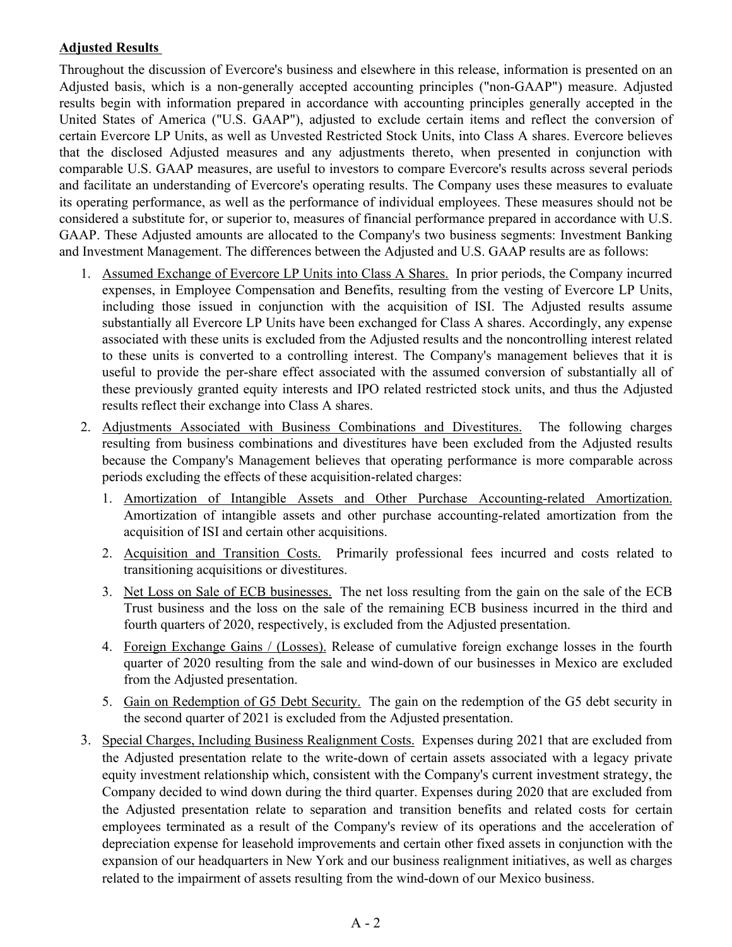### **Adjusted Results**

Throughout the discussion of Evercore's business and elsewhere in this release, information is presented on an Adjusted basis, which is a non-generally accepted accounting principles ("non-GAAP") measure. Adjusted results begin with information prepared in accordance with accounting principles generally accepted in the United States of America ("U.S. GAAP"), adjusted to exclude certain items and reflect the conversion of certain Evercore LP Units, as well as Unvested Restricted Stock Units, into Class A shares. Evercore believes that the disclosed Adjusted measures and any adjustments thereto, when presented in conjunction with comparable U.S. GAAP measures, are useful to investors to compare Evercore's results across several periods and facilitate an understanding of Evercore's operating results. The Company uses these measures to evaluate its operating performance, as well as the performance of individual employees. These measures should not be considered a substitute for, or superior to, measures of financial performance prepared in accordance with U.S. GAAP. These Adjusted amounts are allocated to the Company's two business segments: Investment Banking and Investment Management. The differences between the Adjusted and U.S. GAAP results are as follows:

- 1. Assumed Exchange of Evercore LP Units into Class A Shares. In prior periods, the Company incurred expenses, in Employee Compensation and Benefits, resulting from the vesting of Evercore LP Units, including those issued in conjunction with the acquisition of ISI. The Adjusted results assume substantially all Evercore LP Units have been exchanged for Class A shares. Accordingly, any expense associated with these units is excluded from the Adjusted results and the noncontrolling interest related to these units is converted to a controlling interest. The Company's management believes that it is useful to provide the per-share effect associated with the assumed conversion of substantially all of these previously granted equity interests and IPO related restricted stock units, and thus the Adjusted results reflect their exchange into Class A shares.
- 2. Adjustments Associated with Business Combinations and Divestitures. The following charges resulting from business combinations and divestitures have been excluded from the Adjusted results because the Company's Management believes that operating performance is more comparable across periods excluding the effects of these acquisition-related charges:
	- 1. Amortization of Intangible Assets and Other Purchase Accounting-related Amortization. Amortization of intangible assets and other purchase accounting-related amortization from the acquisition of ISI and certain other acquisitions.
	- 2. Acquisition and Transition Costs. Primarily professional fees incurred and costs related to transitioning acquisitions or divestitures.
	- 3. Net Loss on Sale of ECB businesses. The net loss resulting from the gain on the sale of the ECB Trust business and the loss on the sale of the remaining ECB business incurred in the third and fourth quarters of 2020, respectively, is excluded from the Adjusted presentation.
	- 4. Foreign Exchange Gains / (Losses). Release of cumulative foreign exchange losses in the fourth quarter of 2020 resulting from the sale and wind-down of our businesses in Mexico are excluded from the Adjusted presentation.
	- 5. Gain on Redemption of G5 Debt Security. The gain on the redemption of the G5 debt security in the second quarter of 2021 is excluded from the Adjusted presentation.
- 3. Special Charges, Including Business Realignment Costs. Expenses during 2021 that are excluded from the Adjusted presentation relate to the write-down of certain assets associated with a legacy private equity investment relationship which, consistent with the Company's current investment strategy, the Company decided to wind down during the third quarter. Expenses during 2020 that are excluded from the Adjusted presentation relate to separation and transition benefits and related costs for certain employees terminated as a result of the Company's review of its operations and the acceleration of depreciation expense for leasehold improvements and certain other fixed assets in conjunction with the expansion of our headquarters in New York and our business realignment initiatives, as well as charges related to the impairment of assets resulting from the wind-down of our Mexico business.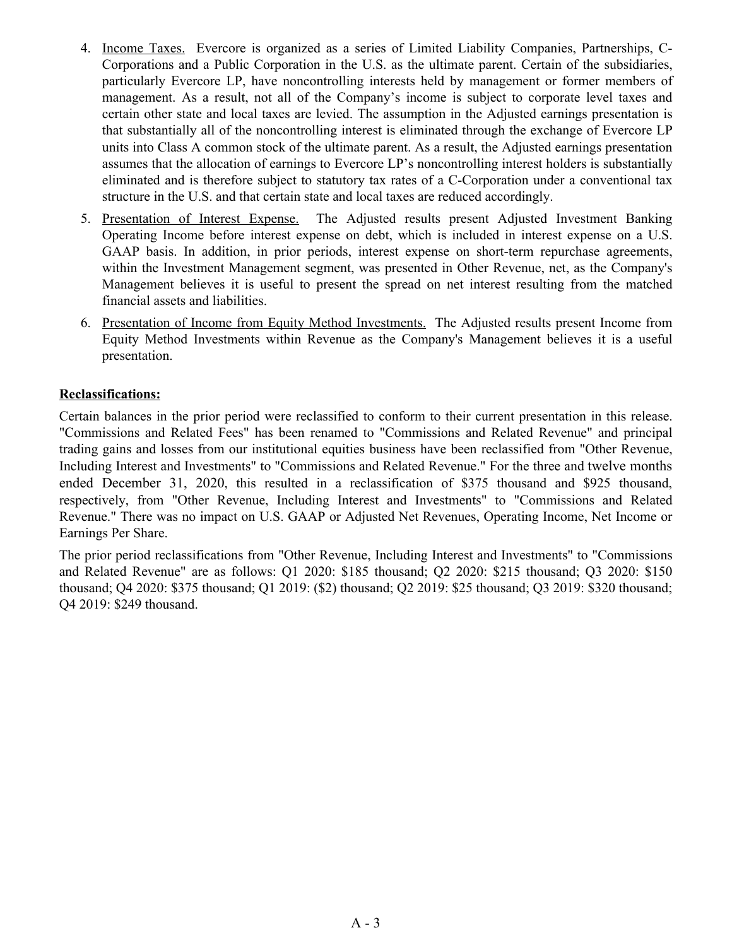- 4. Income Taxes. Evercore is organized as a series of Limited Liability Companies, Partnerships, C-Corporations and a Public Corporation in the U.S. as the ultimate parent. Certain of the subsidiaries, particularly Evercore LP, have noncontrolling interests held by management or former members of management. As a result, not all of the Company's income is subject to corporate level taxes and certain other state and local taxes are levied. The assumption in the Adjusted earnings presentation is that substantially all of the noncontrolling interest is eliminated through the exchange of Evercore LP units into Class A common stock of the ultimate parent. As a result, the Adjusted earnings presentation assumes that the allocation of earnings to Evercore LP's noncontrolling interest holders is substantially eliminated and is therefore subject to statutory tax rates of a C-Corporation under a conventional tax structure in the U.S. and that certain state and local taxes are reduced accordingly.
- 5. Presentation of Interest Expense. The Adjusted results present Adjusted Investment Banking Operating Income before interest expense on debt, which is included in interest expense on a U.S. GAAP basis. In addition, in prior periods, interest expense on short-term repurchase agreements, within the Investment Management segment, was presented in Other Revenue, net, as the Company's Management believes it is useful to present the spread on net interest resulting from the matched financial assets and liabilities.
- 6. Presentation of Income from Equity Method Investments. The Adjusted results present Income from Equity Method Investments within Revenue as the Company's Management believes it is a useful presentation.

### **Reclassifications:**

Certain balances in the prior period were reclassified to conform to their current presentation in this release. "Commissions and Related Fees" has been renamed to "Commissions and Related Revenue" and principal trading gains and losses from our institutional equities business have been reclassified from "Other Revenue, Including Interest and Investments" to "Commissions and Related Revenue." For the three and twelve months ended December 31, 2020, this resulted in a reclassification of \$375 thousand and \$925 thousand, respectively, from "Other Revenue, Including Interest and Investments" to "Commissions and Related Revenue." There was no impact on U.S. GAAP or Adjusted Net Revenues, Operating Income, Net Income or Earnings Per Share.

The prior period reclassifications from "Other Revenue, Including Interest and Investments" to "Commissions and Related Revenue" are as follows: Q1 2020: \$185 thousand; Q2 2020: \$215 thousand; Q3 2020: \$150 thousand; Q4 2020: \$375 thousand; Q1 2019: (\$2) thousand; Q2 2019: \$25 thousand; Q3 2019: \$320 thousand; Q4 2019: \$249 thousand.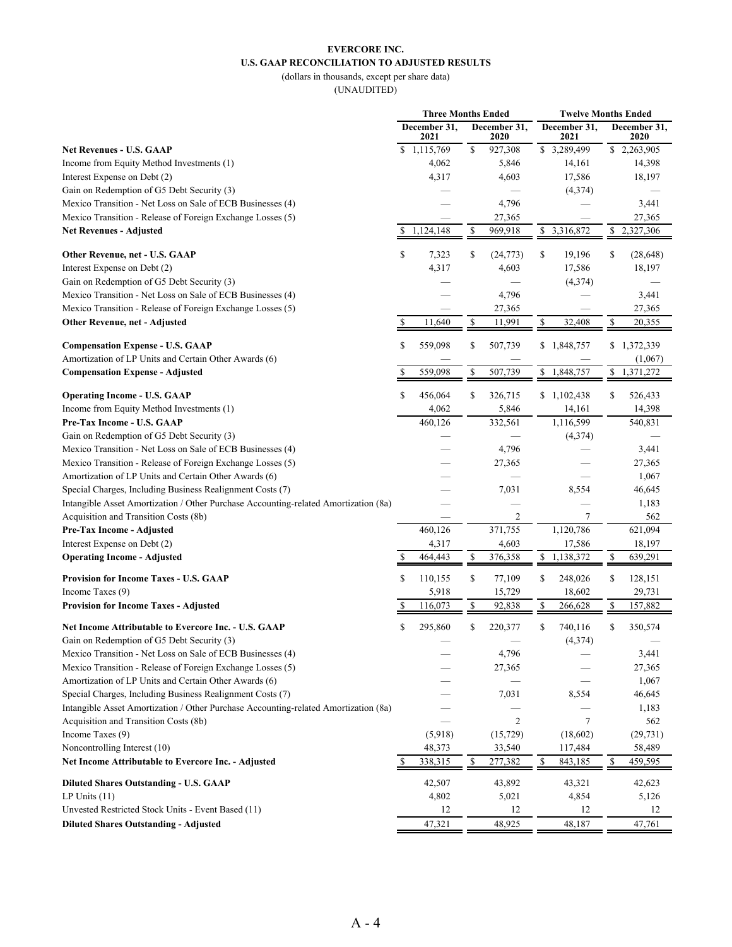#### **EVERCORE INC. U.S. GAAP RECONCILIATION TO ADJUSTED RESULTS**

(dollars in thousands, except per share data)

(UNAUDITED)

|                                                                                     |    | <b>Three Months Ended</b> |              |                      |                      | <b>Twelve Months Ended</b> |                      |  |
|-------------------------------------------------------------------------------------|----|---------------------------|--------------|----------------------|----------------------|----------------------------|----------------------|--|
|                                                                                     |    | December 31,<br>2021      |              | December 31,<br>2020 | December 31,<br>2021 |                            | December 31,<br>2020 |  |
| <b>Net Revenues - U.S. GAAP</b>                                                     | S. | 1,115,769                 | \$           | 927,308              | \$3,289,499          |                            | \$2,263,905          |  |
| Income from Equity Method Investments (1)                                           |    | 4,062                     |              | 5,846                | 14,161               |                            | 14,398               |  |
| Interest Expense on Debt (2)                                                        |    | 4,317                     |              | 4,603                | 17,586               |                            | 18,197               |  |
| Gain on Redemption of G5 Debt Security (3)                                          |    |                           |              |                      | (4,374)              |                            |                      |  |
| Mexico Transition - Net Loss on Sale of ECB Businesses (4)                          |    |                           |              | 4,796                |                      |                            | 3,441                |  |
| Mexico Transition - Release of Foreign Exchange Losses (5)                          |    |                           |              | 27,365               |                      |                            | 27,365               |  |
| <b>Net Revenues - Adjusted</b>                                                      | \$ | 1,124,148                 | \$           | 969,918              | \$ 3,316,872         | \$                         | 2,327,306            |  |
|                                                                                     |    |                           |              |                      |                      |                            |                      |  |
| Other Revenue, net - U.S. GAAP                                                      | \$ | 7,323                     | \$           | (24, 773)            | \$<br>19,196         | \$                         | (28, 648)            |  |
| Interest Expense on Debt (2)                                                        |    | 4,317                     |              | 4,603                | 17,586               |                            | 18,197               |  |
| Gain on Redemption of G5 Debt Security (3)                                          |    |                           |              |                      | (4,374)              |                            |                      |  |
| Mexico Transition - Net Loss on Sale of ECB Businesses (4)                          |    |                           |              | 4,796                |                      |                            | 3,441                |  |
| Mexico Transition - Release of Foreign Exchange Losses (5)                          |    |                           |              | 27,365               |                      |                            | 27,365               |  |
| Other Revenue, net - Adjusted                                                       |    | 11,640                    | \$           | 11,991               | \$<br>32,408         | \$                         | 20,355               |  |
| <b>Compensation Expense - U.S. GAAP</b>                                             | S  | 559,098                   | \$           | 507,739              | \$1,848,757          | \$                         | 1,372,339            |  |
| Amortization of LP Units and Certain Other Awards (6)                               |    |                           |              |                      |                      |                            | (1,067)              |  |
| <b>Compensation Expense - Adjusted</b>                                              |    | 559,098                   | \$           | 507,739              | \$<br>1,848,757      | \$                         | 1,371,272            |  |
| <b>Operating Income - U.S. GAAP</b>                                                 | S  | 456,064                   | \$           | 326,715              | \$1,102,438          | \$                         | 526,433              |  |
| Income from Equity Method Investments (1)                                           |    | 4,062                     |              | 5,846                | 14,161               |                            | 14,398               |  |
| Pre-Tax Income - U.S. GAAP                                                          |    | 460,126                   |              | 332,561              | 1,116,599            |                            | 540,831              |  |
| Gain on Redemption of G5 Debt Security (3)                                          |    |                           |              |                      | (4,374)              |                            |                      |  |
| Mexico Transition - Net Loss on Sale of ECB Businesses (4)                          |    |                           |              | 4,796                |                      |                            | 3,441                |  |
| Mexico Transition - Release of Foreign Exchange Losses (5)                          |    |                           |              | 27,365               |                      |                            | 27,365               |  |
| Amortization of LP Units and Certain Other Awards (6)                               |    |                           |              |                      |                      |                            | 1,067                |  |
| Special Charges, Including Business Realignment Costs (7)                           |    |                           |              | 7,031                | 8,554                |                            | 46,645               |  |
| Intangible Asset Amortization / Other Purchase Accounting-related Amortization (8a) |    |                           |              |                      |                      |                            | 1,183                |  |
| Acquisition and Transition Costs (8b)                                               |    |                           |              | 2                    | 7                    |                            | 562                  |  |
| Pre-Tax Income - Adjusted                                                           |    | 460,126                   |              | 371,755              | 1,120,786            |                            | 621,094              |  |
| Interest Expense on Debt (2)                                                        |    | 4,317                     |              | 4,603                | 17,586               |                            | 18,197               |  |
| <b>Operating Income - Adjusted</b>                                                  |    | 464,443                   | \$           | 376,358              | \$<br>1,138,372      | \$                         | 639,291              |  |
|                                                                                     |    |                           |              |                      |                      |                            |                      |  |
| <b>Provision for Income Taxes - U.S. GAAP</b>                                       | \$ | 110,155                   | \$           | 77,109               | \$<br>248,026        | \$                         | 128,151              |  |
| Income Taxes (9)                                                                    |    | 5,918<br>116,073          | $\mathbb{S}$ | 15,729<br>92,838     | \$<br>18,602         | \$                         | 29,731<br>157,882    |  |
| <b>Provision for Income Taxes - Adjusted</b>                                        |    |                           |              |                      | 266,628              |                            |                      |  |
| <b>Net Income Attributable to Evercore Inc. - U.S. GAAP</b>                         | \$ | 295,860                   | \$           | 220,377              | \$<br>740,116        | \$                         | 350,574              |  |
| Gain on Redemption of G5 Debt Security (3)                                          |    |                           |              |                      | (4, 374)             |                            |                      |  |
| Mexico Transition - Net Loss on Sale of ECB Businesses (4)                          |    |                           |              | 4,796                |                      |                            | 3,441                |  |
| Mexico Transition - Release of Foreign Exchange Losses (5)                          |    |                           |              | 27,365               |                      |                            | 27,365               |  |
| Amortization of LP Units and Certain Other Awards (6)                               |    |                           |              |                      |                      |                            | 1,067                |  |
| Special Charges, Including Business Realignment Costs (7)                           |    |                           |              | 7,031                | 8,554                |                            | 46,645               |  |
| Intangible Asset Amortization / Other Purchase Accounting-related Amortization (8a) |    |                           |              |                      |                      |                            | 1,183                |  |
| Acquisition and Transition Costs (8b)                                               |    |                           |              | 2                    | 7                    |                            | 562                  |  |
| Income Taxes (9)                                                                    |    | (5,918)                   |              | (15, 729)            | (18,602)             |                            | (29, 731)            |  |
| Noncontrolling Interest (10)                                                        |    | 48,373                    |              | 33,540               | 117,484              |                            | 58,489               |  |
| Net Income Attributable to Evercore Inc. - Adjusted                                 |    | 338,315                   | \$           | 277,382              | \$<br>843,185        | \$                         | 459,595              |  |
| <b>Diluted Shares Outstanding - U.S. GAAP</b>                                       |    | 42,507                    |              | 43,892               | 43,321               |                            | 42,623               |  |
| LP Units $(11)$                                                                     |    | 4,802                     |              | 5,021                | 4,854                |                            | 5,126                |  |
| Unvested Restricted Stock Units - Event Based (11)                                  |    | 12                        |              | 12                   | 12                   |                            | 12                   |  |
| <b>Diluted Shares Outstanding - Adjusted</b>                                        |    | 47,321                    |              | 48,925               | 48,187               |                            | 47,761               |  |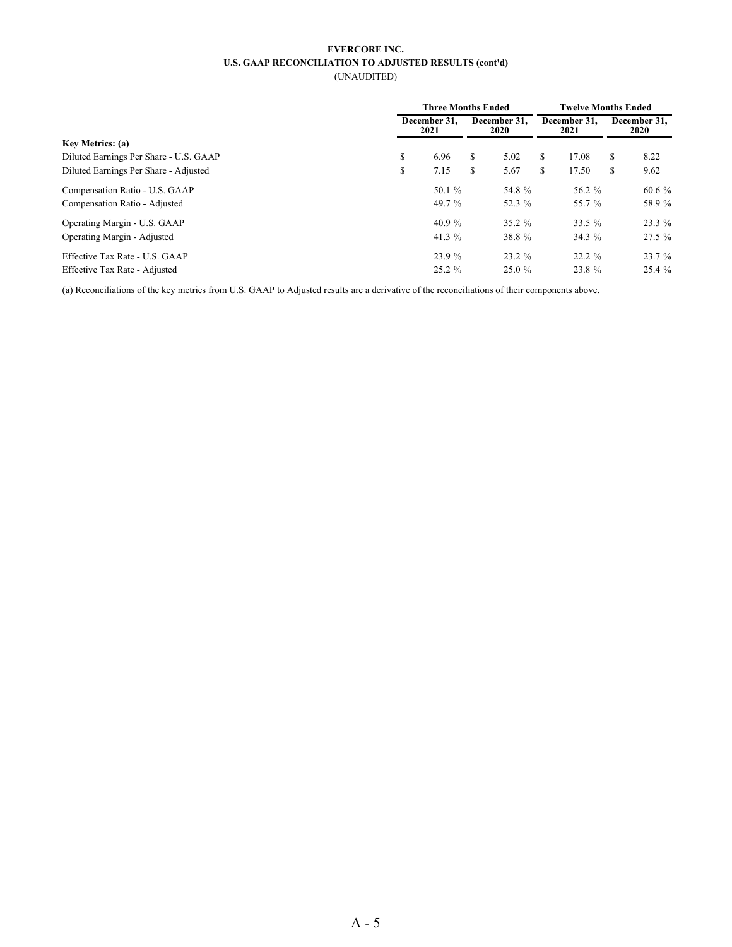#### **EVERCORE INC. U.S. GAAP RECONCILIATION TO ADJUSTED RESULTS (cont'd)** (UNAUDITED)

|                                        |    | <b>Three Months Ended</b> |    |                             | <b>Twelve Months Ended</b> |                      |     |                             |
|----------------------------------------|----|---------------------------|----|-----------------------------|----------------------------|----------------------|-----|-----------------------------|
|                                        |    | December 31.<br>2021      |    | December 31.<br><b>2020</b> |                            | December 31.<br>2021 |     | December 31.<br><b>2020</b> |
| <b>Key Metrics: (a)</b>                |    |                           |    |                             |                            |                      |     |                             |
| Diluted Earnings Per Share - U.S. GAAP | S. | 6.96                      | S  | 5.02                        | S.                         | 17.08                | \$. | 8.22                        |
| Diluted Earnings Per Share - Adjusted  | \$ | 7.15                      | \$ | 5.67                        | S                          | 17.50                | S   | 9.62                        |
| Compensation Ratio - U.S. GAAP         |    | 50.1 %                    |    | 54.8 %                      |                            | 56.2 %               |     | $60.6\%$                    |
| Compensation Ratio - Adjusted          |    | 49.7 %                    |    | 52.3 %                      |                            | 55.7 %               |     | 58.9 %                      |
| Operating Margin - U.S. GAAP           |    | 40.9 $\%$                 |    | $35.2 \%$                   |                            | $33.5 \%$            |     | 23.3 %                      |
| Operating Margin - Adjusted            |    | 41.3 $%$                  |    | 38.8 %                      |                            | $34.3\%$             |     | 27.5 %                      |
| Effective Tax Rate - U.S. GAAP         |    | 23.9%                     |    | $23.2 \%$                   |                            | $22.2 \%$            |     | 23.7 %                      |
| Effective Tax Rate - Adjusted          |    | $25.2 \%$                 |    | 25.0 %                      |                            | 23.8 %               |     | 25.4 %                      |

(a) Reconciliations of the key metrics from U.S. GAAP to Adjusted results are a derivative of the reconciliations of their components above.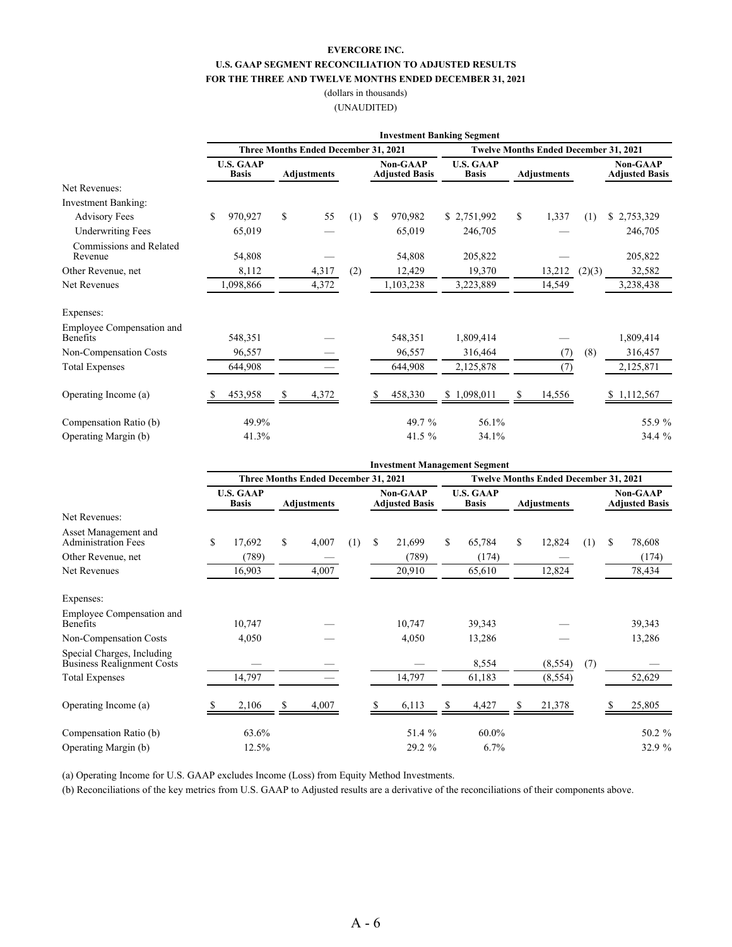#### **EVERCORE INC. U.S. GAAP SEGMENT RECONCILIATION TO ADJUSTED RESULTS FOR THE THREE AND TWELVE MONTHS ENDED DECEMBER 31, 2021**

#### (dollars in thousands) (UNAUDITED)

|                                              | <b>Investment Banking Segment</b>    |                                  |                    |                                      |     |               |                                              |                                  |    |                                              |        |                                          |                                          |
|----------------------------------------------|--------------------------------------|----------------------------------|--------------------|--------------------------------------|-----|---------------|----------------------------------------------|----------------------------------|----|----------------------------------------------|--------|------------------------------------------|------------------------------------------|
|                                              | Three Months Ended December 31, 2021 |                                  |                    |                                      |     |               | <b>Twelve Months Ended December 31, 2021</b> |                                  |    |                                              |        |                                          |                                          |
|                                              | <b>U.S. GAAP</b><br><b>Basis</b>     |                                  | <b>Adjustments</b> |                                      |     |               | <b>Non-GAAP</b><br><b>Adjusted Basis</b>     | <b>U.S. GAAP</b><br><b>Basis</b> |    | <b>Adjustments</b>                           |        | <b>Non-GAAP</b><br><b>Adjusted Basis</b> |                                          |
| Net Revenues:                                |                                      |                                  |                    |                                      |     |               |                                              |                                  |    |                                              |        |                                          |                                          |
| <b>Investment Banking:</b>                   |                                      |                                  |                    |                                      |     |               |                                              |                                  |    |                                              |        |                                          |                                          |
| <b>Advisory Fees</b>                         | S                                    | 970,927                          | \$                 | 55                                   | (1) | <sup>\$</sup> | 970,982                                      | \$2,751,992                      | \$ | 1,337                                        | (1)    | \$2,753,329                              |                                          |
| <b>Underwriting Fees</b>                     |                                      | 65,019                           |                    |                                      |     |               | 65,019                                       | 246,705                          |    |                                              |        |                                          | 246,705                                  |
| Commissions and Related<br>Revenue           |                                      | 54,808                           |                    |                                      |     |               | 54,808                                       | 205,822                          |    |                                              |        |                                          | 205,822                                  |
| Other Revenue, net                           |                                      | 8,112                            |                    | 4,317                                | (2) |               | 12,429                                       | 19,370                           |    | 13,212                                       | (2)(3) |                                          | 32,582                                   |
| <b>Net Revenues</b>                          |                                      | 1,098,866                        |                    | 4,372                                |     |               | 1,103,238                                    | 3,223,889                        |    | 14,549                                       |        |                                          | 3,238,438                                |
| Expenses:                                    |                                      |                                  |                    |                                      |     |               |                                              |                                  |    |                                              |        |                                          |                                          |
| Employee Compensation and<br><b>Benefits</b> |                                      | 548,351                          |                    |                                      |     |               | 548,351                                      | 1,809,414                        |    |                                              |        |                                          | 1,809,414                                |
| Non-Compensation Costs                       |                                      | 96,557                           |                    |                                      |     |               | 96,557                                       | 316,464                          |    | (7)                                          | (8)    |                                          | 316,457                                  |
| <b>Total Expenses</b>                        |                                      | 644,908                          |                    |                                      |     |               | 644,908                                      | 2,125,878                        |    | (7)                                          |        |                                          | 2,125,871                                |
| Operating Income (a)                         |                                      | 453,958                          | S                  | 4,372                                |     |               | 458,330                                      | \$1.098,011                      | \$ | 14,556                                       |        | \$1.112.567                              |                                          |
| Compensation Ratio (b)                       |                                      | 49.9%                            |                    |                                      |     |               | 49.7%                                        | 56.1%                            |    |                                              |        |                                          | 55.9 %                                   |
| Operating Margin (b)                         |                                      | 41.3%                            |                    |                                      |     |               | 41.5 $%$                                     | 34.1%                            |    |                                              |        |                                          | 34.4 %                                   |
|                                              | <b>Investment Management Segment</b> |                                  |                    |                                      |     |               |                                              |                                  |    |                                              |        |                                          |                                          |
|                                              |                                      |                                  |                    | Three Months Ended December 31, 2021 |     |               |                                              |                                  |    | <b>Twelve Months Ended December 31, 2021</b> |        |                                          |                                          |
|                                              |                                      | <b>U.S. GAAP</b><br><b>Basis</b> |                    | <b>Adjustments</b>                   |     |               | <b>Non-GAAP</b><br><b>Adjusted Basis</b>     | <b>U.S. GAAP</b><br><b>Basis</b> |    | <b>Adjustments</b>                           |        |                                          | <b>Non-GAAP</b><br><b>Adjusted Basis</b> |

|                                                                 | DASIS        |    | Aujustments |     | Aujusteu Dasis |        | DASIS |        | Aujustments |          |     | Aujusteu Dasis |        |
|-----------------------------------------------------------------|--------------|----|-------------|-----|----------------|--------|-------|--------|-------------|----------|-----|----------------|--------|
| Net Revenues:                                                   |              |    |             |     |                |        |       |        |             |          |     |                |        |
| Asset Management and<br><b>Administration Fees</b>              | \$<br>17,692 | \$ | 4,007       | (1) | \$             | 21,699 | \$    | 65,784 | \$          | 12,824   | (1) | \$             | 78,608 |
| Other Revenue, net                                              | (789)        |    |             |     |                | (789)  |       | (174)  |             |          |     |                | (174)  |
| Net Revenues                                                    | 16,903       |    | 4,007       |     |                | 20,910 |       | 65,610 |             | 12,824   |     |                | 78,434 |
| Expenses:                                                       |              |    |             |     |                |        |       |        |             |          |     |                |        |
| Employee Compensation and<br><b>Benefits</b>                    | 10,747       |    |             |     |                | 10,747 |       | 39,343 |             |          |     |                | 39,343 |
| Non-Compensation Costs                                          | 4,050        |    |             |     |                | 4,050  |       | 13,286 |             |          |     |                | 13,286 |
| Special Charges, Including<br><b>Business Realignment Costs</b> |              |    |             |     |                |        |       | 8,554  |             | (8, 554) | (7) |                |        |
| <b>Total Expenses</b>                                           | 14,797       |    |             |     |                | 14,797 |       | 61,183 |             | (8, 554) |     |                | 52,629 |
| Operating Income (a)                                            | 2,106        | S  | 4,007       |     |                | 6,113  | S     | 4,427  |             | 21,378   |     |                | 25,805 |
| Compensation Ratio (b)                                          | 63.6%        |    |             |     |                | 51.4 % |       | 60.0%  |             |          |     |                | 50.2 % |
| Operating Margin (b)                                            | 12.5%        |    |             |     |                | 29.2 % |       | 6.7%   |             |          |     |                | 32.9 % |

(a) Operating Income for U.S. GAAP excludes Income (Loss) from Equity Method Investments.

(b) Reconciliations of the key metrics from U.S. GAAP to Adjusted results are a derivative of the reconciliations of their components above.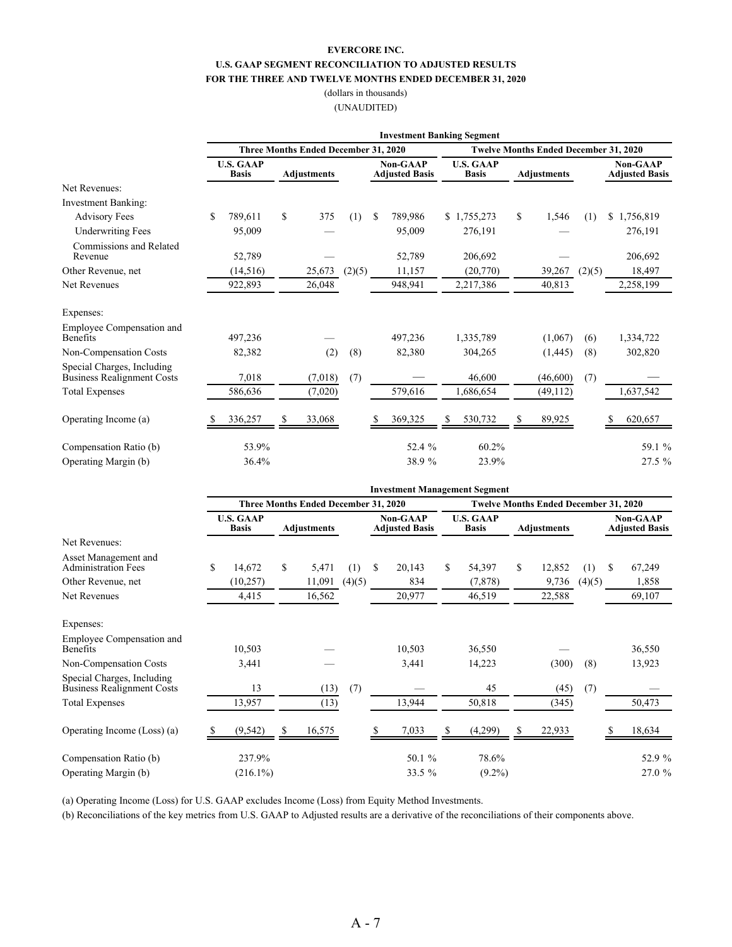#### **EVERCORE INC. U.S. GAAP SEGMENT RECONCILIATION TO ADJUSTED RESULTS FOR THE THREE AND TWELVE MONTHS ENDED DECEMBER 31, 2020**

#### (dollars in thousands) (UNAUDITED)

|                                                                 |                                      |                                  |    |                                      |        |    |                                   | <b>Investment Banking Segment</b>            |                                  |    |                    |        |    |                                   |
|-----------------------------------------------------------------|--------------------------------------|----------------------------------|----|--------------------------------------|--------|----|-----------------------------------|----------------------------------------------|----------------------------------|----|--------------------|--------|----|-----------------------------------|
|                                                                 |                                      |                                  |    | Three Months Ended December 31, 2020 |        |    |                                   | <b>Twelve Months Ended December 31, 2020</b> |                                  |    |                    |        |    |                                   |
|                                                                 |                                      | <b>U.S. GAAP</b><br><b>Basis</b> |    | Adjustments                          |        |    | Non-GAAP<br><b>Adjusted Basis</b> |                                              | <b>U.S. GAAP</b><br><b>Basis</b> |    | <b>Adjustments</b> |        |    | Non-GAAP<br><b>Adjusted Basis</b> |
| Net Revenues:                                                   |                                      |                                  |    |                                      |        |    |                                   |                                              |                                  |    |                    |        |    |                                   |
| <b>Investment Banking:</b>                                      |                                      |                                  |    |                                      |        |    |                                   |                                              |                                  |    |                    |        |    |                                   |
| <b>Advisory Fees</b>                                            | \$                                   | 789,611                          | \$ | 375                                  | (1)    | \$ | 789,986                           |                                              | \$1,755,273                      | \$ | 1,546              | (1)    |    | \$1,756,819                       |
| <b>Underwriting Fees</b>                                        |                                      | 95,009                           |    |                                      |        |    | 95,009                            |                                              | 276,191                          |    |                    |        |    | 276,191                           |
| Commissions and Related<br>Revenue                              |                                      | 52,789                           |    |                                      |        |    | 52,789                            |                                              | 206,692                          |    |                    |        |    | 206,692                           |
| Other Revenue, net                                              |                                      | (14, 516)                        |    | 25,673                               | (2)(5) |    | 11,157                            |                                              | (20,770)                         |    | 39,267             | (2)(5) |    | 18,497                            |
| Net Revenues                                                    |                                      | 922,893                          |    | 26,048                               |        |    | 948,941                           |                                              | 2,217,386                        |    | 40,813             |        |    | 2,258,199                         |
| Expenses:                                                       |                                      |                                  |    |                                      |        |    |                                   |                                              |                                  |    |                    |        |    |                                   |
| Employee Compensation and<br><b>Benefits</b>                    |                                      | 497,236                          |    |                                      |        |    | 497,236                           |                                              | 1,335,789                        |    | (1,067)            | (6)    |    | 1,334,722                         |
| Non-Compensation Costs                                          |                                      | 82,382                           |    | (2)                                  | (8)    |    | 82,380                            |                                              | 304,265                          |    | (1, 445)           | (8)    |    | 302,820                           |
| Special Charges, Including<br><b>Business Realignment Costs</b> |                                      | 7,018                            |    | (7,018)                              | (7)    |    |                                   |                                              | 46,600                           |    | (46,600)           | (7)    |    |                                   |
| <b>Total Expenses</b>                                           |                                      | 586,636                          |    | (7,020)                              |        |    | 579,616                           |                                              | 1,686,654                        |    | (49, 112)          |        |    | 1,637,542                         |
| Operating Income (a)                                            |                                      | 336,257                          |    | 33,068                               |        |    | 369,325                           | S                                            | 530,732                          |    | 89.925             |        | S  | 620,657                           |
| Compensation Ratio (b)                                          |                                      | 53.9%                            |    |                                      |        |    | 52.4 %                            |                                              | 60.2%                            |    |                    |        |    | 59.1 %                            |
| Operating Margin (b)                                            |                                      | 36.4%                            |    |                                      |        |    | 38.9 %                            |                                              | 23.9%                            |    |                    |        |    | 27.5 %                            |
|                                                                 | <b>Investment Management Segment</b> |                                  |    |                                      |        |    |                                   |                                              |                                  |    |                    |        |    |                                   |
|                                                                 |                                      |                                  |    | Three Months Ended December 31, 2020 |        |    |                                   | <b>Twelve Months Ended December 31, 2020</b> |                                  |    |                    |        |    |                                   |
|                                                                 |                                      | <b>U.S. GAAP</b><br><b>Basis</b> |    | Adjustments                          |        |    | Non-GAAP<br><b>Adjusted Basis</b> |                                              | <b>U.S. GAAP</b><br><b>Basis</b> |    | <b>Adjustments</b> |        |    | Non-GAAP<br><b>Adjusted Basis</b> |
| Net Revenues:                                                   |                                      |                                  |    |                                      |        |    |                                   |                                              |                                  |    |                    |        |    |                                   |
| Asset Management and<br><b>Administration Fees</b>              | S                                    | 14,672                           | \$ | 5,471                                | (1)    | \$ | 20,143                            | \$                                           | 54,397                           | \$ | 12,852             | (1)    | \$ | 67,249                            |
| Other Revenue, net                                              |                                      | (10, 257)                        |    | 11,091                               | (4)(5) |    | 834                               |                                              | (7, 878)                         |    | 9,736              | (4)(5) |    | 1,858                             |
| <b>Net Revenues</b>                                             |                                      | 4,415                            |    | 16,562                               |        |    | 20,977                            |                                              | 46,519                           |    | 22,588             |        |    | 69.107                            |
| Expenses:                                                       |                                      |                                  |    |                                      |        |    |                                   |                                              |                                  |    |                    |        |    |                                   |
| Employee Compensation and<br>Benefits                           |                                      | 10,503                           |    |                                      |        |    | 10,503                            |                                              | 36,550                           |    |                    |        |    | 36,550                            |
| Non-Compensation Costs                                          |                                      | 3,441                            |    |                                      |        |    | 3,441                             |                                              | 14,223                           |    | $(300)$ $(8)$      |        |    | 13,923                            |
| Special Charges, Including<br><b>Business Realignment Costs</b> |                                      |                                  |    |                                      | (7)    |    |                                   |                                              | 45                               |    |                    | (7)    |    |                                   |
| <b>Total Expenses</b>                                           |                                      | 13<br>13,957                     |    | (13)<br>(13)                         |        |    | 13,944                            |                                              | 50,818                           |    | (45)<br>(345)      |        |    | 50,473                            |
|                                                                 |                                      |                                  |    |                                      |        |    |                                   |                                              |                                  |    |                    |        |    |                                   |
| Operating Income (Loss) (a)                                     | $\$$                                 | (9, 542)                         | \$ | 16,575                               |        | \$ | 7,033                             | \$                                           | (4,299)                          |    | 22,933             |        | \$ | 18,634                            |
| Compensation Ratio (b)                                          |                                      | 237.9%                           |    |                                      |        |    | 50.1 %                            |                                              | 78.6%                            |    |                    |        |    | 52.9 %                            |
| Operating Margin (b)                                            |                                      | $(216.1\%)$                      |    |                                      |        |    | 33.5 %                            |                                              | $(9.2\%)$                        |    |                    |        |    | 27.0 %                            |

(a) Operating Income (Loss) for U.S. GAAP excludes Income (Loss) from Equity Method Investments.

(b) Reconciliations of the key metrics from U.S. GAAP to Adjusted results are a derivative of the reconciliations of their components above.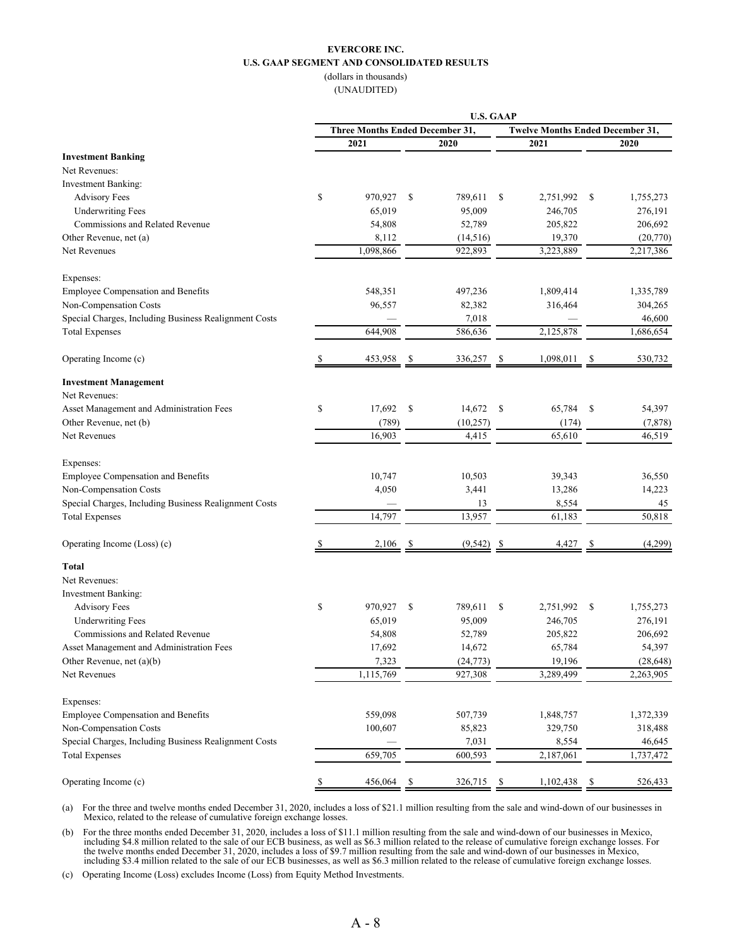#### **EVERCORE INC. U.S. GAAP SEGMENT AND CONSOLIDATED RESULTS**

(dollars in thousands)

#### (UNAUDITED)

|                                                       |                                 |    | <b>U.S. GAAP</b> |      |           |                                         |           |  |
|-------------------------------------------------------|---------------------------------|----|------------------|------|-----------|-----------------------------------------|-----------|--|
|                                                       | Three Months Ended December 31, |    |                  |      |           | <b>Twelve Months Ended December 31,</b> |           |  |
|                                                       | 2021                            |    | 2020             |      | 2021      |                                         | 2020      |  |
| <b>Investment Banking</b>                             |                                 |    |                  |      |           |                                         |           |  |
| Net Revenues:                                         |                                 |    |                  |      |           |                                         |           |  |
| Investment Banking:                                   |                                 |    |                  |      |           |                                         |           |  |
| <b>Advisory Fees</b>                                  | \$<br>970,927                   | -S | 789,611          | -S   | 2,751,992 | -S                                      | 1,755,273 |  |
| <b>Underwriting Fees</b>                              | 65,019                          |    | 95,009           |      | 246,705   |                                         | 276,191   |  |
| Commissions and Related Revenue                       | 54,808                          |    | 52,789           |      | 205,822   |                                         | 206,692   |  |
| Other Revenue, net (a)                                | 8,112                           |    | (14,516)         |      | 19,370    |                                         | (20,770)  |  |
| Net Revenues                                          | 1,098,866                       |    | 922,893          |      | 3,223,889 |                                         | 2,217,386 |  |
| Expenses:                                             |                                 |    |                  |      |           |                                         |           |  |
| Employee Compensation and Benefits                    | 548,351                         |    | 497,236          |      | 1,809,414 |                                         | 1,335,789 |  |
| Non-Compensation Costs                                | 96,557                          |    | 82,382           |      | 316,464   |                                         | 304,265   |  |
| Special Charges, Including Business Realignment Costs |                                 |    | 7,018            |      |           |                                         | 46,600    |  |
| <b>Total Expenses</b>                                 | 644,908                         |    | 586,636          |      | 2,125,878 |                                         | 1,686,654 |  |
|                                                       |                                 |    |                  |      |           |                                         |           |  |
| Operating Income (c)                                  | 453,958                         | \$ | 336,257          | -S   | 1,098,011 |                                         | 530,732   |  |
| <b>Investment Management</b>                          |                                 |    |                  |      |           |                                         |           |  |
| Net Revenues:                                         |                                 |    |                  |      |           |                                         |           |  |
| Asset Management and Administration Fees              | \$<br>17,692                    | \$ | 14,672           | - \$ | 65,784    | -S                                      | 54,397    |  |
| Other Revenue, net (b)                                | (789)                           |    | (10, 257)        |      | (174)     |                                         | (7, 878)  |  |
| Net Revenues                                          | 16,903                          |    | 4,415            |      | 65,610    |                                         | 46,519    |  |
| Expenses:                                             |                                 |    |                  |      |           |                                         |           |  |
| Employee Compensation and Benefits                    | 10,747                          |    | 10,503           |      | 39,343    |                                         | 36,550    |  |
| Non-Compensation Costs                                | 4,050                           |    | 3,441            |      | 13,286    |                                         | 14,223    |  |
| Special Charges, Including Business Realignment Costs |                                 |    | 13               |      | 8,554     |                                         | 45        |  |
| <b>Total Expenses</b>                                 | 14,797                          |    | 13,957           |      | 61,183    |                                         | 50,818    |  |
| Operating Income (Loss) (c)                           | 2,106                           | S  | (9, 542)         | - \$ | 4,427     | \$                                      | (4,299)   |  |
|                                                       |                                 |    |                  |      |           |                                         |           |  |
| <b>Total</b>                                          |                                 |    |                  |      |           |                                         |           |  |
| Net Revenues:                                         |                                 |    |                  |      |           |                                         |           |  |
| <b>Investment Banking:</b>                            |                                 |    |                  |      |           |                                         |           |  |
| <b>Advisory Fees</b>                                  | \$<br>970,927                   | \$ | 789,611          | \$   | 2,751,992 | -S                                      | 1,755,273 |  |
| <b>Underwriting Fees</b>                              | 65,019                          |    | 95,009           |      | 246,705   |                                         | 276,191   |  |
| Commissions and Related Revenue                       | 54,808                          |    | 52,789           |      | 205,822   |                                         | 206,692   |  |
| Asset Management and Administration Fees              | 17,692                          |    | 14,672           |      | 65,784    |                                         | 54,397    |  |
| Other Revenue, net $(a)(b)$                           | 7,323                           |    | (24, 773)        |      | 19,196    |                                         | (28, 648) |  |
| Net Revenues                                          | 1,115,769                       |    | 927,308          |      | 3,289,499 |                                         | 2,263,905 |  |
| Expenses:                                             |                                 |    |                  |      |           |                                         |           |  |
| Employee Compensation and Benefits                    | 559,098                         |    | 507,739          |      | 1,848,757 |                                         | 1,372,339 |  |
| Non-Compensation Costs                                | 100,607                         |    | 85,823           |      | 329,750   |                                         | 318,488   |  |
| Special Charges, Including Business Realignment Costs |                                 |    | 7,031            |      | 8,554     |                                         | 46,645    |  |
| <b>Total Expenses</b>                                 | 659,705                         |    | 600,593          |      | 2,187,061 |                                         | 1,737,472 |  |
| Operating Income (c)                                  | \$<br>456,064                   | \$ | 326,715          | - \$ | 1,102,438 | - \$                                    | 526,433   |  |
|                                                       |                                 |    |                  |      |           |                                         |           |  |

(a) For the three and twelve months ended December 31, 2020, includes a loss of \$21.1 million resulting from the sale and wind-down of our businesses in Mexico, related to the release of cumulative foreign exchange losses.

(b) For the three months ended December 31, 2020, includes a loss of \$11.1 million resulting from the sale and wind-down of our businesses in Mexico, including \$4.8 million related to the sale of our ECB business, as well as \$6.3 million related to the release of cumulative foreign exchange losses. For the twelve months ended December 31, 2020, includes a loss of \$9.7 million resulting from the sale and wind-down of our businesses in Mexico, including \$3.4 million related to the sale of our ECB businesses, as well as \$6.3 million related to the release of cumulative foreign exchange losses.

(c) Operating Income (Loss) excludes Income (Loss) from Equity Method Investments.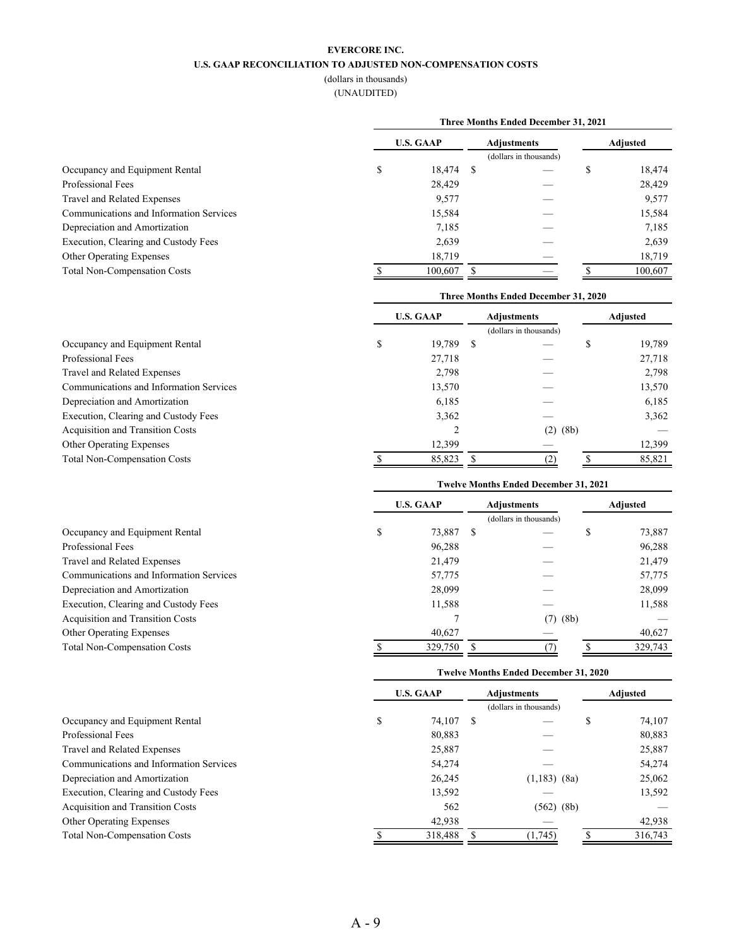#### **EVERCORE INC.**

#### **U.S. GAAP RECONCILIATION TO ADJUSTED NON-COMPENSATION COSTS**

(dollars in thousands)

(UNAUDITED)

|                                         | Three Months Ended December 31, 2021 |                  |  |                        |   |          |  |  |  |  |
|-----------------------------------------|--------------------------------------|------------------|--|------------------------|---|----------|--|--|--|--|
|                                         |                                      | <b>U.S. GAAP</b> |  | <b>Adjustments</b>     |   | Adjusted |  |  |  |  |
|                                         |                                      |                  |  | (dollars in thousands) |   |          |  |  |  |  |
| Occupancy and Equipment Rental          |                                      | 18,474           |  |                        | S | 18,474   |  |  |  |  |
| Professional Fees                       |                                      | 28,429           |  |                        |   | 28,429   |  |  |  |  |
| Travel and Related Expenses             |                                      | 9,577            |  |                        |   | 9,577    |  |  |  |  |
| Communications and Information Services |                                      | 15,584           |  |                        |   | 15,584   |  |  |  |  |
| Depreciation and Amortization           |                                      | 7,185            |  |                        |   | 7,185    |  |  |  |  |
| Execution, Clearing and Custody Fees    |                                      | 2,639            |  |                        |   | 2,639    |  |  |  |  |
| <b>Other Operating Expenses</b>         |                                      | 18,719           |  |                        |   | 18,719   |  |  |  |  |
| <b>Total Non-Compensation Costs</b>     |                                      | 100.607          |  |                        |   | 100.607  |  |  |  |  |

#### **Three Months Ended December 31, 2020**

|                                         |   | <b>U.S. GAAP</b> |    | Adjustments            | Adjusted     |
|-----------------------------------------|---|------------------|----|------------------------|--------------|
|                                         |   |                  |    | (dollars in thousands) |              |
| Occupancy and Equipment Rental          | Ъ | 19,789           | -S |                        | \$<br>19,789 |
| Professional Fees                       |   | 27,718           |    |                        | 27,718       |
| Travel and Related Expenses             |   | 2,798            |    |                        | 2,798        |
| Communications and Information Services |   | 13,570           |    |                        | 13,570       |
| Depreciation and Amortization           |   | 6,185            |    |                        | 6,185        |
| Execution, Clearing and Custody Fees    |   | 3,362            |    |                        | 3,362        |
| <b>Acquisition and Transition Costs</b> |   |                  |    | $(2)$ $(8b)$           |              |
| <b>Other Operating Expenses</b>         |   | 12,399           |    |                        | 12,399       |
| <b>Total Non-Compensation Costs</b>     |   | 85,823           |    |                        | 85,821       |
|                                         |   |                  |    |                        |              |

#### **Twelve Months Ended December 31, 2021**

|                                         | <b>U.S. GAAP</b> |         |    | <b>Adjustments</b>     |   | Adjusted |
|-----------------------------------------|------------------|---------|----|------------------------|---|----------|
|                                         |                  |         |    | (dollars in thousands) |   |          |
| Occupancy and Equipment Rental          | \$               | 73,887  | -S |                        | S | 73,887   |
| Professional Fees                       |                  | 96,288  |    |                        |   | 96,288   |
| Travel and Related Expenses             |                  | 21,479  |    |                        |   | 21,479   |
| Communications and Information Services |                  | 57,775  |    |                        |   | 57,775   |
| Depreciation and Amortization           |                  | 28,099  |    |                        |   | 28,099   |
| Execution, Clearing and Custody Fees    |                  | 11,588  |    |                        |   | 11,588   |
| <b>Acquisition and Transition Costs</b> |                  |         |    | $(7)$ $(8b)$           |   |          |
| <b>Other Operating Expenses</b>         |                  | 40,627  |    |                        |   | 40,627   |
| <b>Total Non-Compensation Costs</b>     |                  | 329,750 |    |                        |   | 329,743  |

|                                         | <b>Twelve Months Ended December 31, 2020</b> |         |    |                        |   |          |  |  |  |  |
|-----------------------------------------|----------------------------------------------|---------|----|------------------------|---|----------|--|--|--|--|
|                                         | <b>U.S. GAAP</b>                             |         |    | <b>Adjustments</b>     |   | Adjusted |  |  |  |  |
|                                         |                                              |         |    | (dollars in thousands) |   |          |  |  |  |  |
| Occupancy and Equipment Rental          | \$                                           | 74,107  | -S |                        | S | 74,107   |  |  |  |  |
| Professional Fees                       |                                              | 80,883  |    |                        |   | 80,883   |  |  |  |  |
| Travel and Related Expenses             |                                              | 25,887  |    |                        |   | 25,887   |  |  |  |  |
| Communications and Information Services |                                              | 54,274  |    |                        |   | 54,274   |  |  |  |  |
| Depreciation and Amortization           |                                              | 26.245  |    | $(1,183)$ $(8a)$       |   | 25,062   |  |  |  |  |
| Execution, Clearing and Custody Fees    |                                              | 13,592  |    |                        |   | 13,592   |  |  |  |  |
| <b>Acquisition and Transition Costs</b> |                                              | 562     |    | $(562)$ $(8b)$         |   |          |  |  |  |  |
| <b>Other Operating Expenses</b>         |                                              | 42,938  |    |                        |   | 42,938   |  |  |  |  |
| <b>Total Non-Compensation Costs</b>     |                                              | 318.488 |    | (1,745)                |   | 316.743  |  |  |  |  |